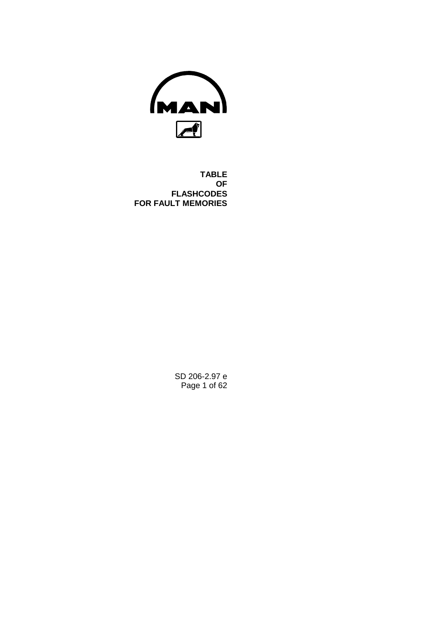

**TABLE OF FLASHCODES FOR FAULT MEMORIES**

> SD 206-2.97 e Page 1 of 62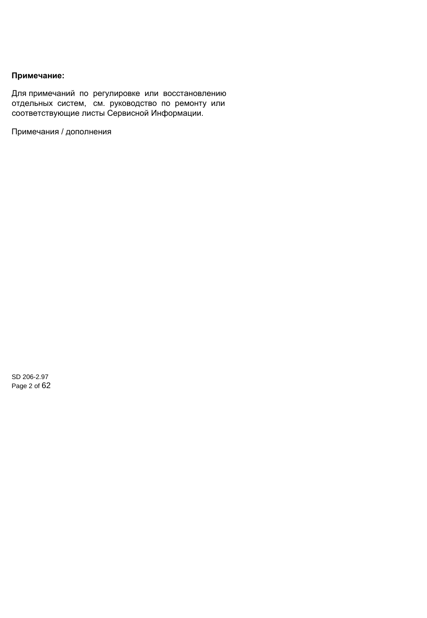# **Note: Примечание:**

Для примечаний по регулировке или восстановлению отдельных систем, см. руководство по ремонту или соответствующие листы Сервисной Информации.

Примечания / дополнения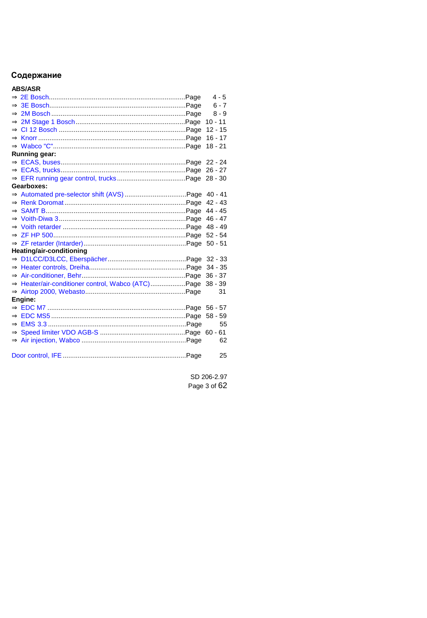# Содержание

# **ABS/ASR**

|                                                   | $4 - 5$   |
|---------------------------------------------------|-----------|
|                                                   | $6 - 7$   |
|                                                   | $8 - 9$   |
|                                                   | $10 - 11$ |
|                                                   | $12 - 15$ |
|                                                   | $16 - 17$ |
|                                                   | $18 - 21$ |
| Running gear:                                     |           |
|                                                   | 22 - 24   |
|                                                   | $26 - 27$ |
|                                                   | $28 - 30$ |
| Gearboxes:                                        |           |
|                                                   | $40 - 41$ |
|                                                   | $42 - 43$ |
|                                                   | $44 - 45$ |
|                                                   | $46 - 47$ |
|                                                   | $48 - 49$ |
|                                                   | $52 - 54$ |
|                                                   | $50 - 51$ |
| Heating/air-conditioning                          |           |
|                                                   | $32 - 33$ |
|                                                   | $34 - 35$ |
|                                                   | $36 - 37$ |
| ⇒ Heater/air-conditioner control, Wabco (ATC)Page | $38 - 39$ |
|                                                   | 31        |
| Engine:                                           |           |
|                                                   |           |
|                                                   | $58 - 59$ |
|                                                   | 55        |
|                                                   | $60 - 61$ |
|                                                   | 62        |
|                                                   | 25        |
|                                                   |           |

SD 206-2.97 Page 3 of 62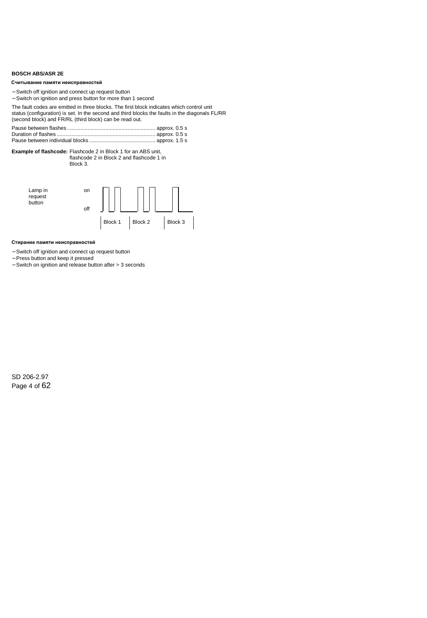## <span id="page-3-0"></span>**BOSCH ABS/ASR 2E**

#### **Reading out the fault memory Считывание памяти неисправностей**

- − Switch off ignition and connect up request button
- − Switch on ignition and press button for more than 1 second

The fault codes are emitted in three blocks. The first block indicates which control unit status (configuration) is set. In the second and third blocks the faults in the diagonals FL/RR (second block) and FR/RL (third block) can be read out.

**Example of flashcode:** Flashcode 2 in Block 1 for an ABS unit, flashcode 2 in Block 2 and flashcode 1 in Block 3.



#### **Erasing the fault memory Стирание памяти неисправностей**

- − Switch off ignition and connect up request button
- − Press button and keep it pressed
- − Switch on ignition and release button after > 3 seconds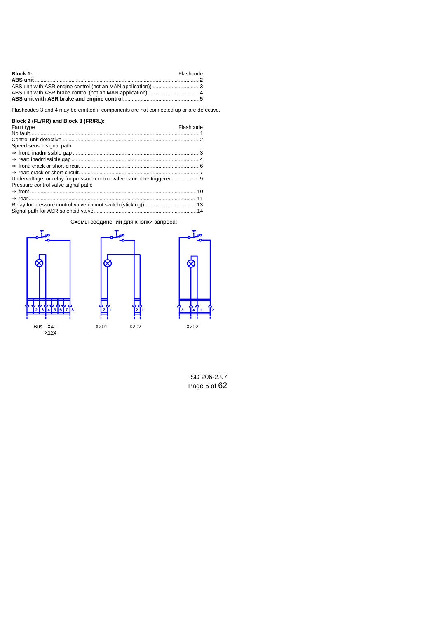| Block 1:                                                     | Flashcode |
|--------------------------------------------------------------|-----------|
|                                                              |           |
| ABS unit with ASR engine control (not an MAN application)) 3 |           |
|                                                              |           |
|                                                              |           |

Flashcodes 3 and 4 may be emitted if components are not connected up or are defective.

## **Block 2 (FL/RR) and Block 3 (FR/RL):**

| Fault type                                                            | Flashcode |
|-----------------------------------------------------------------------|-----------|
|                                                                       |           |
|                                                                       |           |
| Speed sensor signal path:                                             |           |
|                                                                       |           |
|                                                                       |           |
|                                                                       |           |
|                                                                       |           |
| Undervoltage, or relay for pressure control valve cannot be triggered |           |
| Pressure control valve signal path:                                   |           |
|                                                                       |           |
|                                                                       |           |
|                                                                       |           |
|                                                                       |           |

## Схемы соединений для кнопки запроса:





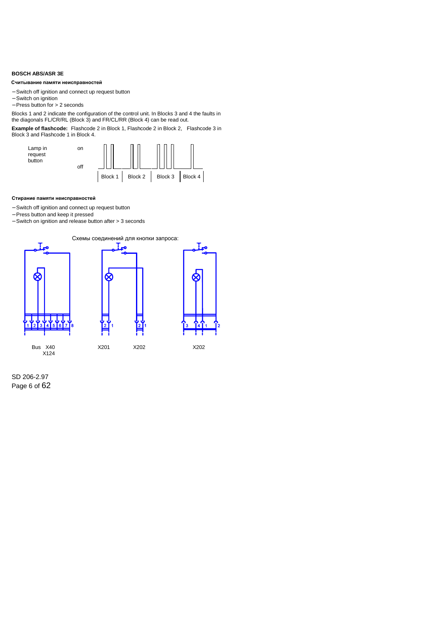## <span id="page-5-0"></span>**BOSCH ABS/ASR 3E**

#### Считывание памяти неисправностей

- − Switch off ignition and connect up request button
- − Switch on ignition
- − Press button for > 2 seconds

Blocks 1 and 2 indicate the configuration of the control unit. In Blocks 3 and 4 the faults in the diagonals FL/CR/RL (Block 3) and FR/CL/RR (Block 4) can be read out.

**Example of flashcode:** Flashcode 2 in Block 1, Flashcode 2 in Block 2, Flashcode 3 in Block 3 and Flashcode 1 in Block 4.



#### Стирание памяти неисправностей

- − Switch off ignition and connect up request button
- − Press button and keep it pressed
- − Switch on ignition and release button after > 3 seconds



SD 206-2.97 Page 6 of 62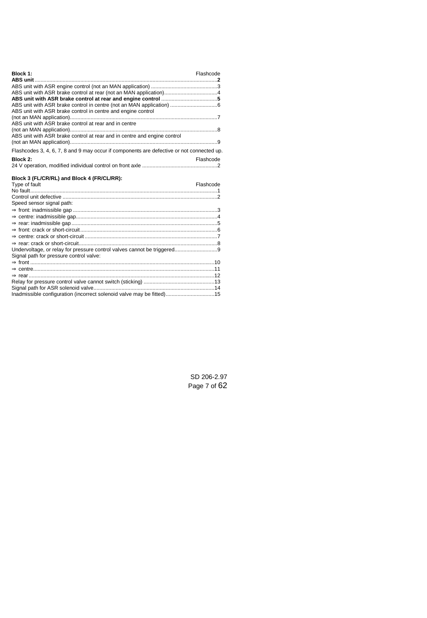| Block 1:                                                                                  | Flashcode |
|-------------------------------------------------------------------------------------------|-----------|
|                                                                                           |           |
|                                                                                           |           |
|                                                                                           |           |
|                                                                                           |           |
|                                                                                           |           |
| ABS unit with ASR brake control in centre and engine control                              |           |
|                                                                                           |           |
| ABS unit with ASR brake control at rear and in centre                                     |           |
|                                                                                           |           |
| ABS unit with ASR brake control at rear and in centre and engine control                  |           |
|                                                                                           |           |
| Flashcodes 3, 4, 6, 7, 8 and 9 may occur if components are defective or not connected up. |           |

| Block 2: | Flashcode |
|----------|-----------|
|          |           |

## **Block 3 (FL/CR/RL) and Block 4 (FR/CL/RR):**

| Type of fault                                                         | Flashcode |
|-----------------------------------------------------------------------|-----------|
|                                                                       |           |
|                                                                       |           |
| Speed sensor signal path:                                             |           |
|                                                                       |           |
|                                                                       |           |
|                                                                       |           |
|                                                                       |           |
|                                                                       |           |
|                                                                       |           |
|                                                                       |           |
| Signal path for pressure control valve:                               |           |
|                                                                       |           |
|                                                                       |           |
|                                                                       |           |
|                                                                       |           |
|                                                                       |           |
| Inadmissible configuration (incorrect solenoid valve may be fitted)15 |           |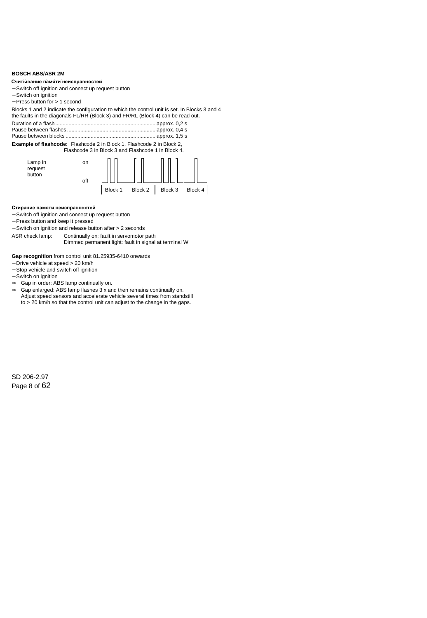## <span id="page-7-0"></span>**BOSCH ABS/ASR 2M**

#### **Reading out the fault memory Считывание памяти неисправностей**

- − Switch off ignition and connect up request button
- − Switch on ignition
- − Press button for > 1 second

Blocks 1 and 2 indicate the configuration to which the control unit is set. In Blocks 3 and 4 the faults in the diagonals FL/RR (Block 3) and FR/RL (Block 4) can be read out.

Duration of a flash.................................................................... approx. 0,2 s

Pause between flashes ............................................................ approx. 0,4 s Pause between blocks ............................................................. approx. 1,5 s

**Example of flashcode:** Flashcode 2 in Block 1, Flashcode 2 in Block 2,

Flashcode 3 in Block 3 and Flashcode 1 in Block 4.



#### **Erasing the fault memory Стирание памяти неисправностей**

- − Switch off ignition and connect up request button
- − Press button and keep it pressed
- − Switch on ignition and release button after > 2 seconds

ASR check lamp: Continually on: fault in servomotor path Dimmed permanent light: fault in signal at terminal W

**Gap recognition** from control unit 81.25935-6410 onwards

- − Drive vehicle at speed > 20 km/h
- − Stop vehicle and switch off ignition
- − Switch on ignition
- ⇒ Gap in order: ABS lamp continually on.
- ⇒ Gap enlarged: ABS lamp flashes 3 x and then remains continually on. Adjust speed sensors and accelerate vehicle several times from standstill to > 20 km/h so that the control unit can adjust to the change in the gaps.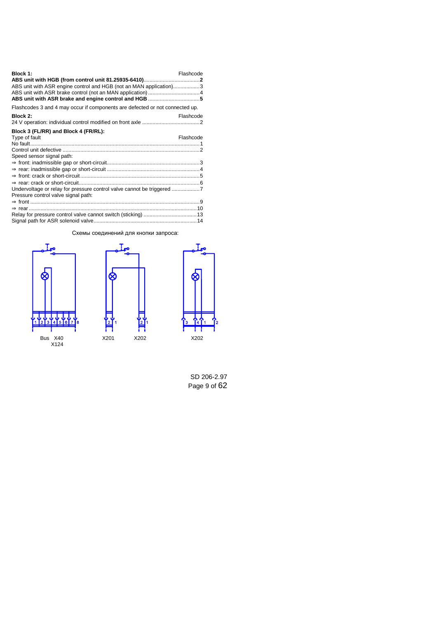| Block 1:<br>ABS unit with ASR engine control and HGB (not an MAN application)3                              | Flashcode |
|-------------------------------------------------------------------------------------------------------------|-----------|
| Flashcodes 3 and 4 may occur if components are defected or not connected up.                                |           |
| Block 2:                                                                                                    | Flashcode |
| Block 3 (FL/RR) and Block 4 (FR/RL):                                                                        | Flashcode |
| Type of fault                                                                                               |           |
|                                                                                                             |           |
| Speed sensor signal path:                                                                                   |           |
|                                                                                                             |           |
|                                                                                                             |           |
|                                                                                                             |           |
|                                                                                                             |           |
| Undervoltage or relay for pressure control valve cannot be triggered<br>Pressure control valve signal path: |           |
|                                                                                                             |           |
|                                                                                                             |           |
|                                                                                                             |           |
|                                                                                                             |           |

## Схемы соединений для кнопки запроса:







SD 206-2.97 Page 9 of 62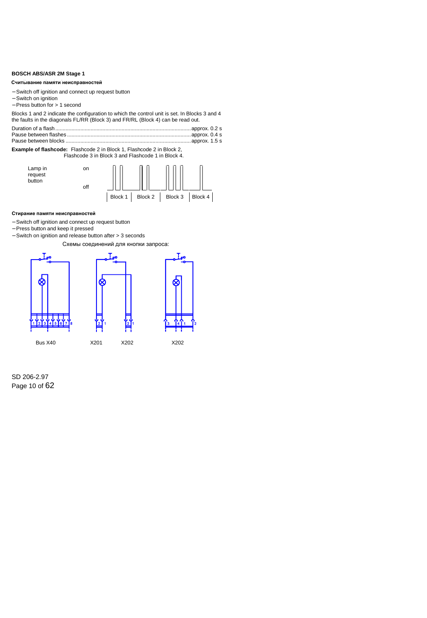## <span id="page-9-0"></span>**BOSCH ABS/ASR 2M Stage 1**

#### Считывание памяти неисправностей

- − Switch off ignition and connect up request button
- − Switch on ignition
- − Press button for > 1 second

Blocks 1 and 2 indicate the configuration to which the control unit is set. In Blocks 3 and 4 the faults in the diagonals FL/RR (Block 3) and FR/RL (Block 4) can be read out.

Duration of a flash............................................................................................approx. 0.2 s Pause between flashes ....................................................................................approx. 0.4 s Pause between blocks .....................................................................................approx. 1.5 s

#### **Example of flashcode:** Flashcode 2 in Block 1, Flashcode 2 in Block 2, Flashcode 3 in Block 3 and Flashcode 1 in Block 4.



### Стирание памяти неисправностей

- − Switch off ignition and connect up request button
- − Press button and keep it pressed
- − Switch on ignition and release button after > 3 seconds

Схемы соединений для кнопки запроса:

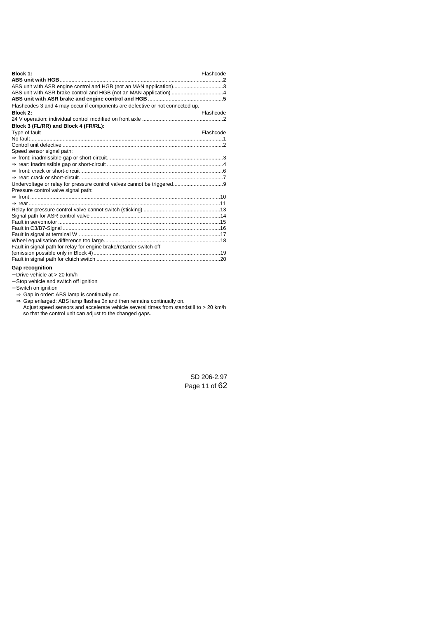| Block 1:                                                                      | Flashcode |
|-------------------------------------------------------------------------------|-----------|
|                                                                               |           |
| ABS unit with ASR engine control and HGB (not an MAN application)3            |           |
|                                                                               |           |
|                                                                               |           |
| Flashcodes 3 and 4 may occur if components are defective or not connected up. |           |
| Block 2:                                                                      | Flashcode |
|                                                                               |           |
| Block 3 (FL/RR) and Block 4 (FR/RL):                                          |           |
| Type of fault                                                                 | Flashcode |
|                                                                               |           |
|                                                                               |           |
| Speed sensor signal path:                                                     |           |
|                                                                               |           |
|                                                                               |           |
|                                                                               |           |
|                                                                               |           |
| Pressure control valve signal path:                                           |           |
|                                                                               |           |
|                                                                               |           |
|                                                                               |           |
|                                                                               |           |
|                                                                               |           |
|                                                                               |           |
|                                                                               |           |
|                                                                               |           |
| Fault in signal path for relay for engine brake/retarder switch-off           |           |
|                                                                               |           |
|                                                                               |           |

## **Gap recognition**

- − Drive vehicle at > 20 km/h
- − Stop vehicle and switch off ignition
- − Switch on ignition
	- ⇒ Gap in order: ABS lamp is continually on.
	- ⇒ Gap enlarged: ABS lamp flashes 3x and then remains continually on. Adjust speed sensors and accelerate vehicle several times from standstill to > 20 km/h so that the control unit can adjust to the changed gaps.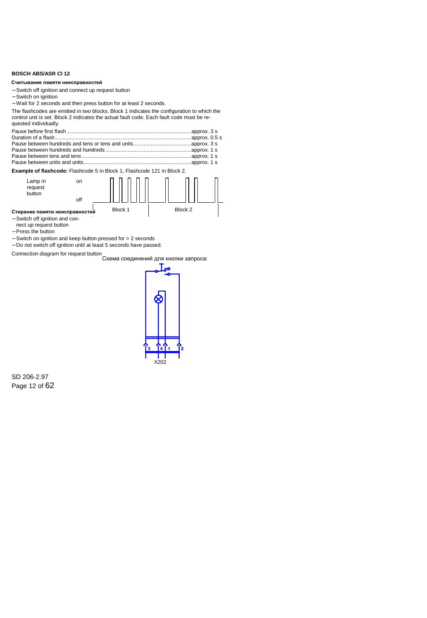## <span id="page-11-0"></span>**BOSCH ABS/ASR CI 12**

#### Считывание памяти неисправностей

- − Switch off ignition and connect up request button
- − Switch on ignition
- − Wait for 2 seconds and then press button for at least 2 seconds.

The flashcodes are emitted in two blocks. Block 1 indicates the configuration to which the control unit is set. Block 2 indicates the actual fault code. Each fault code must be requested individually.

**Example of flashcode:** Flashcode 5 in Block 1, Flashcode 121 in Block 2.



- − Switch off ignition and connect up request button
- − Press the button
- − Switch on ignition and keep button pressed for > 2 seconds
- − Do not switch off ignition until at least 5 seconds have passed.

Connection diagram for request button



SD 206-2.97 Page 12 of 62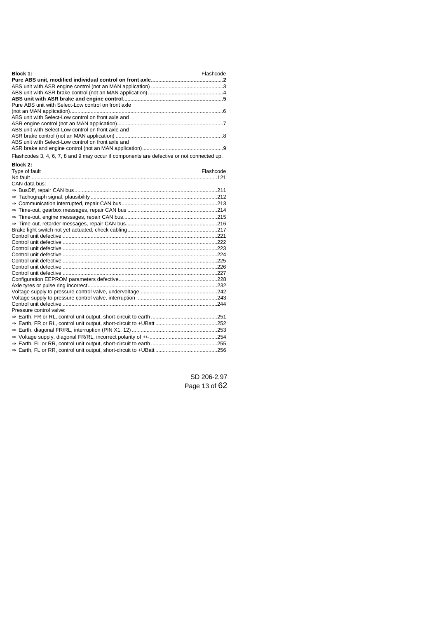| Block 1:                                                                                  | Flashcode |
|-------------------------------------------------------------------------------------------|-----------|
|                                                                                           |           |
|                                                                                           |           |
|                                                                                           |           |
|                                                                                           |           |
| Pure ABS unit with Select-Low control on front axle                                       |           |
|                                                                                           |           |
| ABS unit with Select-Low control on front axle and                                        |           |
|                                                                                           |           |
| ABS unit with Select-Low control on front axle and                                        |           |
| ABS unit with Select-Low control on front axle and                                        |           |
|                                                                                           |           |
|                                                                                           |           |
| Flashcodes 3, 4, 6, 7, 8 and 9 may occur if components are defective or not connected up. |           |
| Block 2:                                                                                  |           |
| Type of fault                                                                             | Flashcode |
|                                                                                           |           |
| CAN data bus:                                                                             |           |
|                                                                                           |           |
|                                                                                           |           |
|                                                                                           |           |
|                                                                                           |           |
|                                                                                           |           |
|                                                                                           |           |
|                                                                                           |           |
|                                                                                           |           |
|                                                                                           |           |
|                                                                                           |           |
|                                                                                           |           |
|                                                                                           |           |
|                                                                                           |           |
|                                                                                           |           |
|                                                                                           |           |
|                                                                                           |           |
|                                                                                           |           |
|                                                                                           |           |
| Pressure control valve:                                                                   |           |
|                                                                                           |           |
|                                                                                           |           |
|                                                                                           |           |
|                                                                                           |           |
|                                                                                           |           |
|                                                                                           |           |
|                                                                                           |           |

SD 206-2.97 Page 13 of 62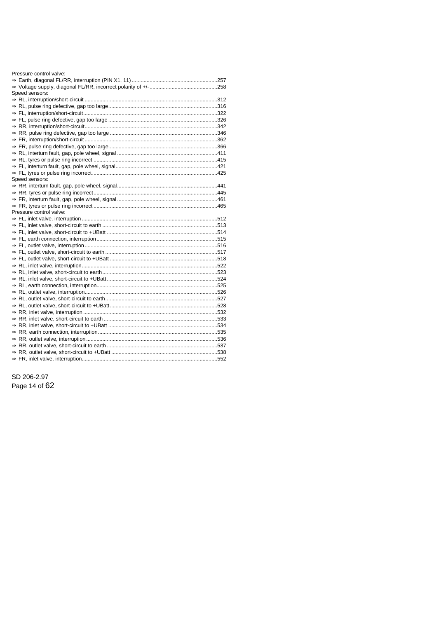| Pressure control valve: |  |
|-------------------------|--|
|                         |  |
|                         |  |
| Speed sensors:          |  |
|                         |  |
|                         |  |
|                         |  |
|                         |  |
|                         |  |
|                         |  |
|                         |  |
|                         |  |
|                         |  |
|                         |  |
|                         |  |
|                         |  |
| Speed sensors:          |  |
|                         |  |
|                         |  |
|                         |  |
|                         |  |
| Pressure control valve: |  |
|                         |  |
|                         |  |
|                         |  |
|                         |  |
|                         |  |
|                         |  |
|                         |  |
|                         |  |
|                         |  |
|                         |  |
|                         |  |
|                         |  |
|                         |  |
|                         |  |
|                         |  |
|                         |  |
|                         |  |
|                         |  |
|                         |  |
|                         |  |
|                         |  |
|                         |  |

SD 206-2.97 Page 14 of 62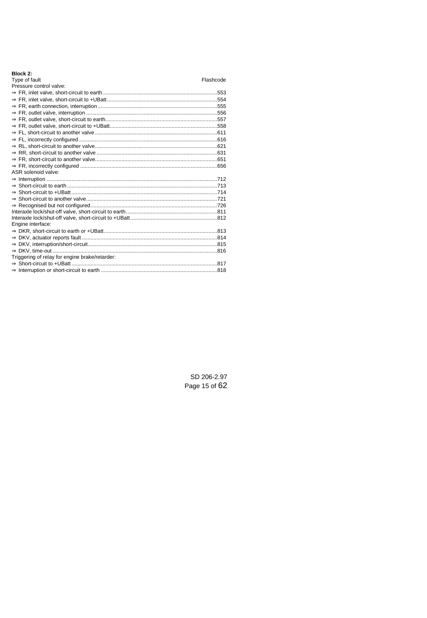| Block 2 |  |
|---------|--|
|---------|--|

## Flashcode

 $Type of fault$ <br> $Time cost of a 100$ 

| Pressure control valve:                        |  |
|------------------------------------------------|--|
|                                                |  |
|                                                |  |
|                                                |  |
|                                                |  |
|                                                |  |
|                                                |  |
|                                                |  |
|                                                |  |
|                                                |  |
|                                                |  |
|                                                |  |
|                                                |  |
| ASR solenoid valve:                            |  |
|                                                |  |
|                                                |  |
|                                                |  |
|                                                |  |
|                                                |  |
|                                                |  |
|                                                |  |
| Engine interface:                              |  |
|                                                |  |
|                                                |  |
|                                                |  |
|                                                |  |
| Triggering of relay for engine brake/retarder: |  |
|                                                |  |
|                                                |  |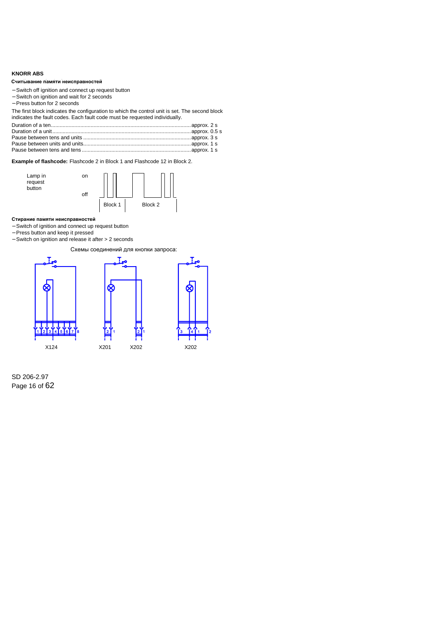## <span id="page-15-0"></span>**KNORR ABS**

### Считывание памяти неисправностей

- − Switch off ignition and connect up request button
- − Switch on ignition and wait for 2 seconds
- − Press button for 2 seconds

The first block indicates the configuration to which the control unit is set. The second block indicates the fault codes. Each fault code must be requested individually.

**Example of flashcode:** Flashcode 2 in Block 1 and Flashcode 12 in Block 2.



### Стирание памяти неисправностей

- − Switch of ignition and connect up request button
- − Press button and keep it pressed
- − Switch on ignition and release it after > 2 seconds

Схемы соединений для кнопки запроса:



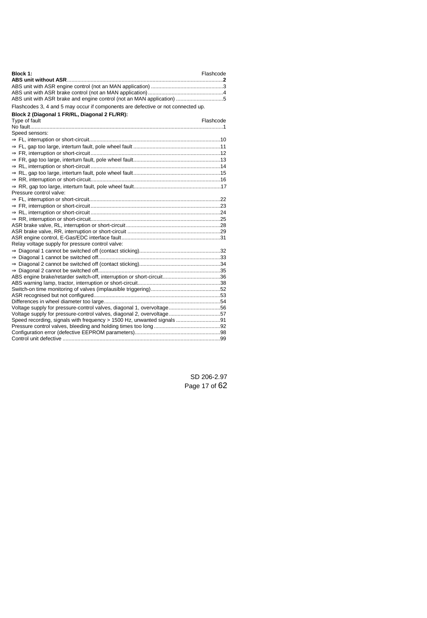| Block 1:                                                                                                                                         | Flashcode |
|--------------------------------------------------------------------------------------------------------------------------------------------------|-----------|
|                                                                                                                                                  |           |
|                                                                                                                                                  |           |
|                                                                                                                                                  |           |
| ABS unit with ASR brake and engine control (not an MAN application) 5                                                                            |           |
| Flashcodes 3, 4 and 5 may occur if components are defective or not connected up.                                                                 |           |
| Block 2 (Diagonal 1 FR/RL, Diagonal 2 FL/RR):                                                                                                    |           |
| Type of fault                                                                                                                                    | Flashcode |
|                                                                                                                                                  |           |
| Speed sensors:                                                                                                                                   |           |
|                                                                                                                                                  |           |
|                                                                                                                                                  |           |
|                                                                                                                                                  |           |
|                                                                                                                                                  |           |
|                                                                                                                                                  |           |
|                                                                                                                                                  |           |
|                                                                                                                                                  |           |
|                                                                                                                                                  |           |
| Pressure control valve:                                                                                                                          |           |
|                                                                                                                                                  |           |
|                                                                                                                                                  |           |
|                                                                                                                                                  |           |
|                                                                                                                                                  |           |
|                                                                                                                                                  |           |
|                                                                                                                                                  |           |
|                                                                                                                                                  |           |
| Relay voltage supply for pressure control valve:                                                                                                 |           |
|                                                                                                                                                  |           |
|                                                                                                                                                  |           |
|                                                                                                                                                  |           |
|                                                                                                                                                  |           |
|                                                                                                                                                  |           |
|                                                                                                                                                  |           |
|                                                                                                                                                  |           |
|                                                                                                                                                  |           |
|                                                                                                                                                  |           |
| Voltage supply for pressure-control valves, diagonal 1, overvoltage56                                                                            |           |
| Voltage supply for pressure-control valves, diagonal 2, overvoltage57<br>Speed recording, signals with frequency > 1500 Hz, unwanted signals  91 |           |
|                                                                                                                                                  |           |
|                                                                                                                                                  |           |
|                                                                                                                                                  |           |
|                                                                                                                                                  |           |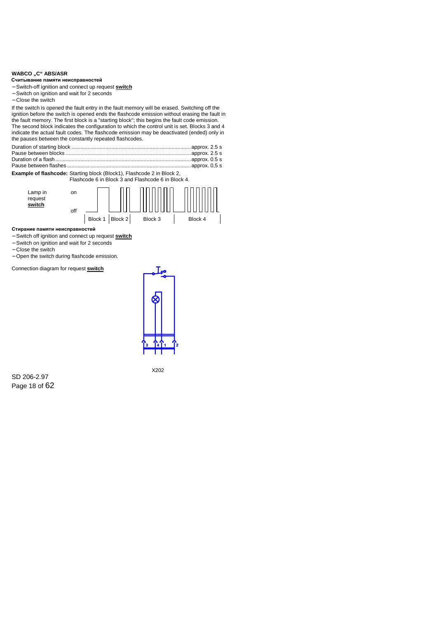## <span id="page-17-0"></span>**WABCO** "C" ABS/ASR

#### **Reading out the fault memory Считывание памяти неисправностей**

- − Switch-off ignition and connect up request **switch**
- − Switch on ignition and wait for 2 seconds
- − Close the switch

If the switch is opened the fault entry in the fault memory will be erased. Switching off the ignition before the switch is opened ends the flashcode emission without erasing the fault in the fault memory. The first block is a "starting block"; this begins the fault code emission. The second block indicates the configuration to which the control unit is set. Blocks 3 and 4 indicate the actual fault codes. The flashcode emission may be deactivated (ended) only in the pauses between the constantly repeated flashcodes.

**Example of flashcode:** Starting block (Block1), Flashcode 2 in Block 2,

Flashcode 6 in Block 3 and Flashcode 6 in Block 4.



#### **Erasing the fault memory Стирание памяти неисправностей**

- − Switch off ignition and connect up request **switch**
- − Switch on ignition and wait for 2 seconds
- − Close the switch
- − Open the switch during flashcode emission.

Connection diagram for request **switch**



SD 206-2.97 Page 18 of 62 X202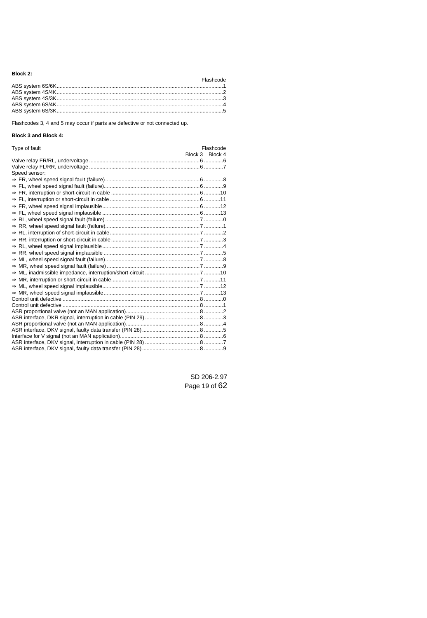## **Block 2:**

## Flashcode

Flashcodes 3, 4 and 5 may occur if parts are defective or not connected up.

## **Block 3 and Block 4:**

| Type of fault | Flashcode       |
|---------------|-----------------|
|               | Block 3 Block 4 |
|               |                 |
|               |                 |
| Speed sensor: |                 |
|               |                 |
|               |                 |
|               |                 |
|               |                 |
|               |                 |
|               |                 |
|               |                 |
|               |                 |
|               |                 |
|               |                 |
|               |                 |
|               |                 |
|               |                 |
|               |                 |
|               |                 |
|               |                 |
|               |                 |
|               |                 |
|               |                 |
|               |                 |
|               |                 |
|               |                 |
|               |                 |
|               |                 |
|               |                 |
|               |                 |
|               |                 |

SD 206-2.97 Page 19 of 62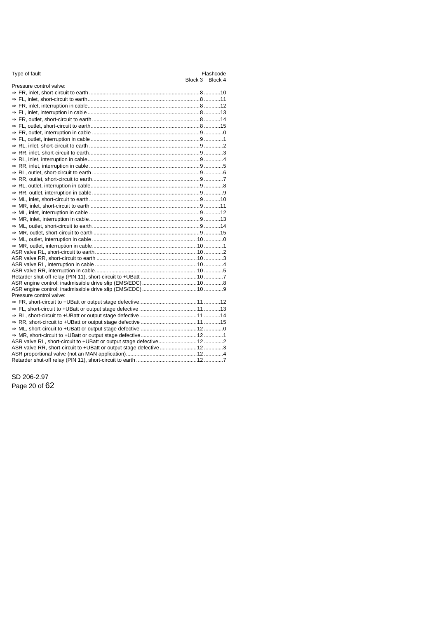|  | Type of fault |  |
|--|---------------|--|
|  |               |  |

| Pressure control valve: |  |
|-------------------------|--|
|                         |  |
|                         |  |
|                         |  |
|                         |  |
|                         |  |
|                         |  |
|                         |  |
|                         |  |
|                         |  |
|                         |  |
|                         |  |
|                         |  |
|                         |  |
|                         |  |
|                         |  |
|                         |  |
|                         |  |
|                         |  |
|                         |  |
|                         |  |
|                         |  |
|                         |  |
|                         |  |
|                         |  |
|                         |  |
|                         |  |
|                         |  |
|                         |  |
|                         |  |
|                         |  |
| Pressure control valve: |  |
|                         |  |
|                         |  |
|                         |  |
|                         |  |
|                         |  |
|                         |  |
|                         |  |
|                         |  |
|                         |  |
|                         |  |
|                         |  |

SD 206-2.97 Page 20 of 62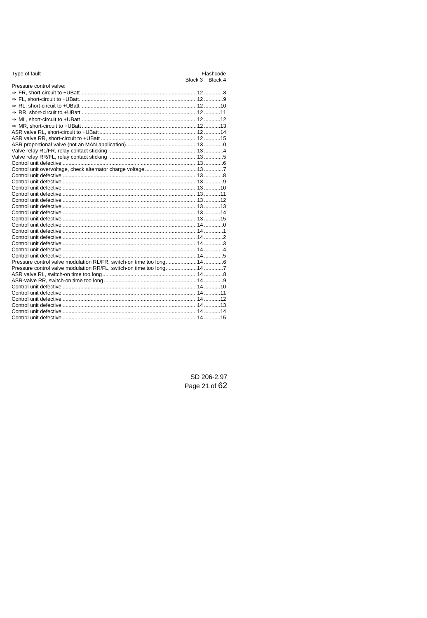| Pressure control valve:                                                |  |
|------------------------------------------------------------------------|--|
|                                                                        |  |
|                                                                        |  |
|                                                                        |  |
|                                                                        |  |
|                                                                        |  |
|                                                                        |  |
|                                                                        |  |
|                                                                        |  |
|                                                                        |  |
|                                                                        |  |
|                                                                        |  |
|                                                                        |  |
|                                                                        |  |
|                                                                        |  |
|                                                                        |  |
|                                                                        |  |
|                                                                        |  |
|                                                                        |  |
|                                                                        |  |
|                                                                        |  |
|                                                                        |  |
|                                                                        |  |
|                                                                        |  |
|                                                                        |  |
|                                                                        |  |
|                                                                        |  |
|                                                                        |  |
| Pressure control valve modulation RL/FR, switch-on time too long 14  6 |  |
| Pressure control valve modulation RR/FL, switch-on time too long 14 7  |  |
|                                                                        |  |
|                                                                        |  |
|                                                                        |  |
|                                                                        |  |
|                                                                        |  |
|                                                                        |  |
|                                                                        |  |
|                                                                        |  |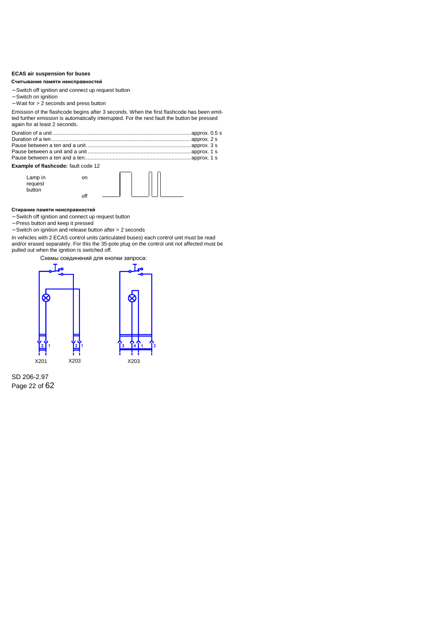## <span id="page-21-0"></span>**ECAS air suspension for buses**

#### Считывание памяти неисправностей

- − Switch off ignition and connect up request button
- − Switch on ignition
- − Wait for > 2 seconds and press button

| Считывание памяти неисправностей                                                                                                                                                                                                          |     |                                      |  |
|-------------------------------------------------------------------------------------------------------------------------------------------------------------------------------------------------------------------------------------------|-----|--------------------------------------|--|
| - Switch off ignition and connect up request button<br>- Switch on ignition<br>- Wait for > 2 seconds and press button                                                                                                                    |     |                                      |  |
| Emission of the flashcode begins after 3 seconds. When the first flashcode has been emit-<br>ted further emission is automatically interrupted. For the next fault the button be pressed<br>again for at least 2 seconds.                 |     |                                      |  |
| Example of flashcode: fault code 12<br>Lamp in<br>request                                                                                                                                                                                 | on  |                                      |  |
| button                                                                                                                                                                                                                                    | off |                                      |  |
| Стирание памяти неисправностей<br>- Switch off ignition and connect up request button<br>- Press button and keep it pressed<br>- Switch on ignition and release button after > 2 seconds                                                  |     |                                      |  |
| In vehicles with 2 ECAS control units (articulated buses) each control unit must be read<br>and/or erased separately. For this the 35-pole plug on the control unit not affected must be<br>pulled out when the ignition is switched off. |     |                                      |  |
|                                                                                                                                                                                                                                           |     | Схемы соединений для кнопки запроса: |  |

## **Example of flashcode:** fault code 12



#### Стирание памяти неисправностей

- − Switch off ignition and connect up request button
- − Press button and keep it pressed
- − Switch on ignition and release button after > 2 seconds



SD 206-2.97 Page 22 of 62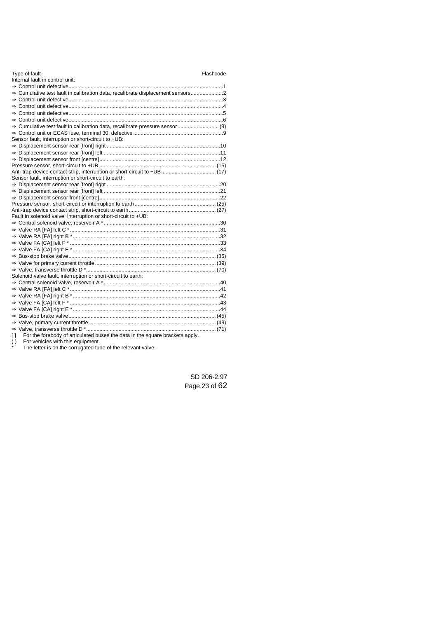| Type of fault                                                                          | Flashcode |
|----------------------------------------------------------------------------------------|-----------|
| Internal fault in control unit:                                                        |           |
|                                                                                        |           |
|                                                                                        |           |
|                                                                                        |           |
|                                                                                        |           |
|                                                                                        |           |
|                                                                                        |           |
| ⇒ Cumulative test fault in calibration data, recalibrate pressure sensor  (8)          |           |
|                                                                                        |           |
| Sensor fault, interruption or short-circuit to +UB:                                    |           |
|                                                                                        |           |
|                                                                                        |           |
|                                                                                        |           |
|                                                                                        |           |
|                                                                                        |           |
| Sensor fault, interruption or short-circuit to earth:                                  |           |
|                                                                                        |           |
|                                                                                        |           |
|                                                                                        |           |
|                                                                                        |           |
|                                                                                        |           |
| Fault in solenoid valve, interruption or short-circuit to +UB:                         |           |
|                                                                                        |           |
|                                                                                        |           |
|                                                                                        |           |
|                                                                                        |           |
|                                                                                        |           |
|                                                                                        |           |
|                                                                                        |           |
|                                                                                        |           |
| Solenoid valve fault, interruption or short-circuit to earth:                          |           |
|                                                                                        |           |
|                                                                                        |           |
|                                                                                        |           |
|                                                                                        |           |
|                                                                                        |           |
|                                                                                        |           |
|                                                                                        |           |
|                                                                                        |           |
| For the forebody of articulated buses the data in the square brackets apply.<br>$\Box$ |           |
| $\mathcal{L}$ $\mathcal{L}$ . For excluded a set of the distribution of $\mathcal{L}$  |           |

( ) For vehicles with this equipment. \* The letter is on the corrugated tube of the relevant valve.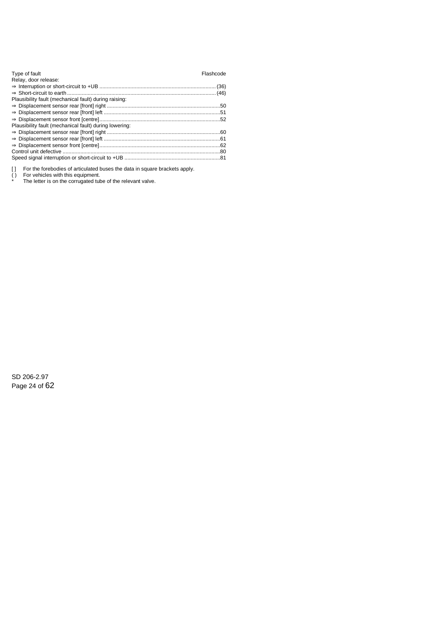| Type of fault<br>Relay, door release:                  | Flashcode |
|--------------------------------------------------------|-----------|
| Plausibility fault (mechanical fault) during raising:  |           |
|                                                        |           |
| Plausibility fault (mechanical fault) during lowering: |           |
|                                                        |           |
|                                                        |           |
|                                                        |           |
|                                                        |           |
|                                                        |           |

[ ] For the forebodies of articulated buses the data in square brackets apply.<br>  $\uparrow$  For vehicles with this equipment.<br>  $\uparrow$  The latter is no the occurrented the of the relevant value.

( ) For vehicles with this equipment. \* The letter is on the corrugated tube of the relevant valve.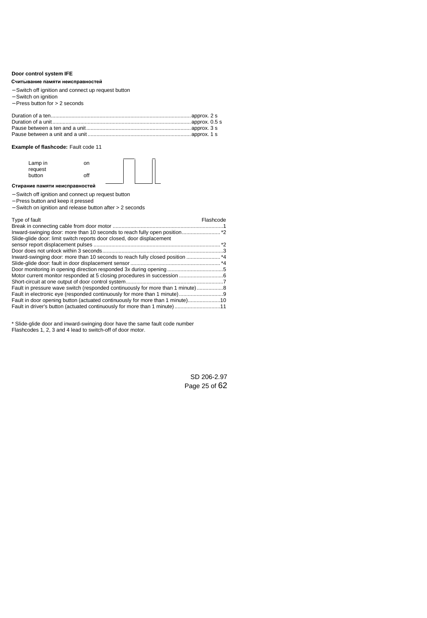## <span id="page-24-0"></span>**Door control system IFE**

#### **Reading out the fault memory Считывание памяти неисправностей**

- − Switch off ignition and connect up request button
- − Switch on ignition
- − Press button for > 2 seconds

## **Example of flashcode:** Fault code 11

Lamp in request button on



#### **Erasing the fault memory Стирание памяти неисправностей**

- − Switch off ignition and connect up request button
- − Press button and keep it pressed
- − Switch on ignition and release button after > 2 seconds

off

| Type of fault                                                                 | Flashcode |
|-------------------------------------------------------------------------------|-----------|
|                                                                               |           |
|                                                                               |           |
| Slide-glide door: limit switch reports door closed, door displacement         |           |
|                                                                               |           |
|                                                                               |           |
|                                                                               |           |
|                                                                               |           |
|                                                                               |           |
|                                                                               |           |
|                                                                               |           |
| Fault in pressure wave switch (responded continuously for more than 1 minute) |           |
|                                                                               |           |
| Fault in door opening button (actuated continuously for more than 1 minute)10 |           |
| Fault in driver's button (actuated continuously for more than 1 minute)11     |           |

\* Slide-glide door and inward-swinging door have the same fault code number Flashcodes 1, 2, 3 and 4 lead to switch-off of door motor.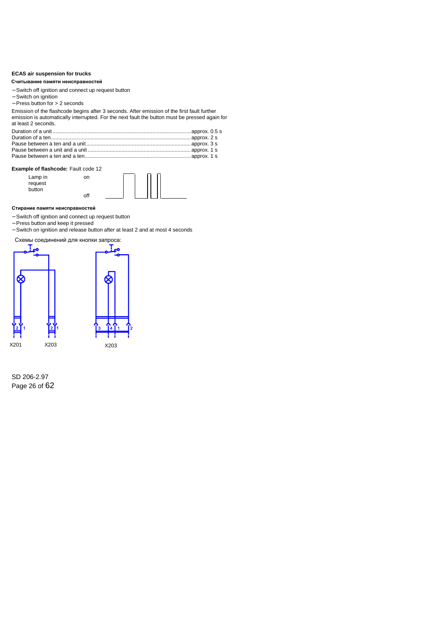## <span id="page-25-0"></span>**ECAS air suspension for trucks**

### Считывание памяти неисправностей

- − Switch off ignition and connect up request button
- − Switch on ignition
- − Press button for > 2 seconds

| Считывание памяти неисправностей                                                                                  |                                                                                                                                                                                             |  |
|-------------------------------------------------------------------------------------------------------------------|---------------------------------------------------------------------------------------------------------------------------------------------------------------------------------------------|--|
| - Switch off ignition and connect up request button<br>- Switch on ignition<br>$-$ Press button for $> 2$ seconds |                                                                                                                                                                                             |  |
| at least 2 seconds                                                                                                | Emission of the flashcode begins after 3 seconds. After emission of the first fault further<br>emission is automatically interrupted. For the next fault the button must be pressed again f |  |
|                                                                                                                   |                                                                                                                                                                                             |  |
| Example of flashcode: Fault code 12                                                                               |                                                                                                                                                                                             |  |
| Lamp in<br>request<br>button                                                                                      | on<br>off                                                                                                                                                                                   |  |
| Стирание памяти неисправностей                                                                                    |                                                                                                                                                                                             |  |
| - Switch off ignition and connect up request button<br>- Press button and keep it pressed                         | - Switch on ignition and release button after at least 2 and at most 4 seconds                                                                                                              |  |
| Схемы соединений для кнопки запроса:                                                                              |                                                                                                                                                                                             |  |

## **Example of flashcode:** Fault code 12



#### Стирание памяти неисправностей

- − Switch off ignition and connect up request button
- − Press button and keep it pressed
- − Switch on ignition and release button after at least 2 and at most 4 seconds

## Схемы соединений для кнопки запроса:





SD 206-2.97 Page 26 of 62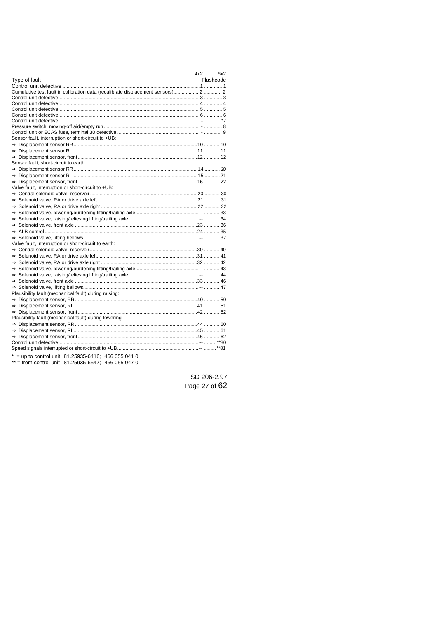|                                                                                  | 4x2 | 6x2       |
|----------------------------------------------------------------------------------|-----|-----------|
| Type of fault                                                                    |     | Flashcode |
|                                                                                  |     |           |
| Cumulative test fault in calibration data (recalibrate displacement sensors)2  2 |     |           |
|                                                                                  |     |           |
|                                                                                  |     |           |
|                                                                                  |     |           |
|                                                                                  |     |           |
|                                                                                  |     |           |
|                                                                                  |     |           |
|                                                                                  |     |           |
| Sensor fault, interruption or short-circuit to +UB:                              |     |           |
|                                                                                  |     |           |
|                                                                                  |     |           |
|                                                                                  |     |           |
| Sensor fault, short-circuit to earth:                                            |     |           |
|                                                                                  |     |           |
|                                                                                  |     |           |
|                                                                                  |     |           |
| Valve fault, interruption or short-circuit to +UB:                               |     |           |
|                                                                                  |     |           |
|                                                                                  |     |           |
|                                                                                  |     |           |
|                                                                                  |     |           |
|                                                                                  |     |           |
|                                                                                  |     |           |
|                                                                                  |     |           |
|                                                                                  |     |           |
| Valve fault, interruption or short-circuit to earth:                             |     |           |
|                                                                                  |     |           |
|                                                                                  |     |           |
|                                                                                  |     |           |
|                                                                                  |     |           |
|                                                                                  |     |           |
|                                                                                  |     |           |
|                                                                                  |     |           |
|                                                                                  |     |           |
| Plausibility fault (mechanical fault) during raising:                            |     |           |
|                                                                                  |     |           |
|                                                                                  |     |           |
|                                                                                  |     |           |
| Plausibility fault (mechanical fault) during lowering:                           |     |           |
|                                                                                  |     |           |
|                                                                                  |     |           |
|                                                                                  |     |           |
|                                                                                  |     |           |
|                                                                                  |     |           |
| * = up to control unit: $81.25935 - 6416$ ; 466 055 041 0                        |     |           |

\*\* = from control unit 81.25935-6547; 466 055 047 0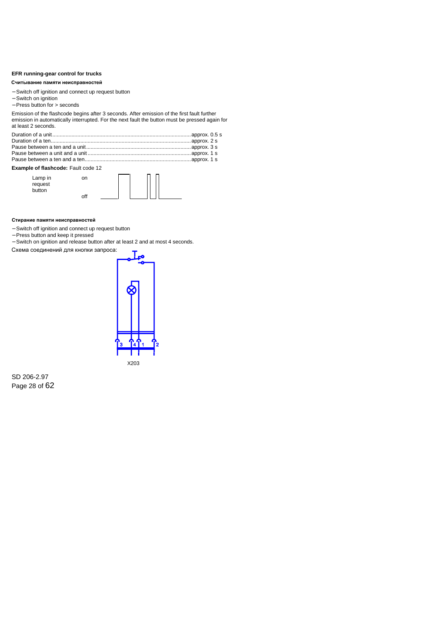### <span id="page-27-0"></span>**EFR running-gear control for trucks**

#### Считывание памяти неисправностей

- − Switch off ignition and connect up request button
- − Switch on ignition
- − Press button for > seconds

| Считывание памяти неисправностей                                                                                |           |                                                                                                                                                                                           |  |
|-----------------------------------------------------------------------------------------------------------------|-----------|-------------------------------------------------------------------------------------------------------------------------------------------------------------------------------------------|--|
| - Switch off ignition and connect up request button<br>- Switch on ignition<br>$-$ Press button for $>$ seconds |           |                                                                                                                                                                                           |  |
| at least 2 seconds.                                                                                             |           | Emission of the flashcode begins after 3 seconds. After emission of the first fault further<br>emission in automatically interrupted. For the next fault the button must be pressed again |  |
|                                                                                                                 |           |                                                                                                                                                                                           |  |
| <b>Example of flashcode:</b> Fault code 12                                                                      |           |                                                                                                                                                                                           |  |
| Lamp in<br>request<br>button                                                                                    | on<br>off |                                                                                                                                                                                           |  |
| Стирание памяти неисправностей                                                                                  |           |                                                                                                                                                                                           |  |
| - Switch off ignition and connect up request button<br>- Press button and keep it pressed                       |           | - Switch on ignition and release button after at least 2 and at most 4 seconds.                                                                                                           |  |
| Схема соединений для кнопки запроса:                                                                            |           | T                                                                                                                                                                                         |  |

## **Example of flashcode:** Fault code 12

| on  |
|-----|
|     |
| off |



### Стирание памяти неисправностей

- − Switch off ignition and connect up request button
- − Press button and keep it pressed
- − Switch on ignition and release button after at least 2 and at most 4 seconds.

Схема соединений для кнопки запроса:



SD 206-2.97 Page 28 of 62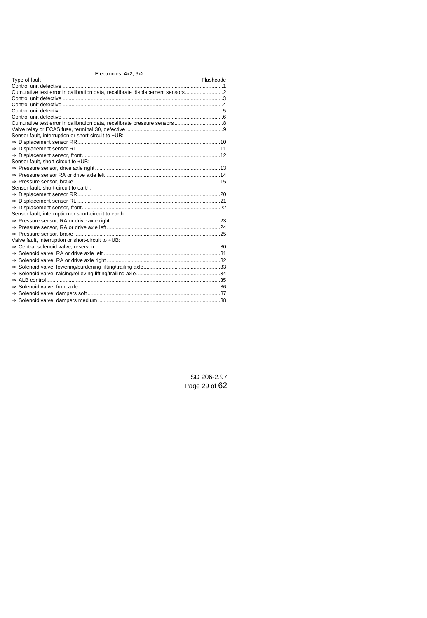| Type of fault                                                               | Flashcode |
|-----------------------------------------------------------------------------|-----------|
|                                                                             |           |
| Cumulative test error in calibration data, recalibrate displacement sensors |           |
|                                                                             |           |
|                                                                             |           |
|                                                                             |           |
|                                                                             |           |
|                                                                             |           |
|                                                                             |           |
| Sensor fault, interruption or short-circuit to +UB:                         |           |
|                                                                             |           |
|                                                                             |           |
|                                                                             |           |
| Sensor fault, short-circuit to +UB:                                         |           |
|                                                                             |           |
|                                                                             |           |
|                                                                             |           |
| Sensor fault, short-circuit to earth:                                       |           |
|                                                                             |           |
|                                                                             |           |
|                                                                             |           |
| Sensor fault, interruption or short-circuit to earth:                       |           |
|                                                                             |           |
|                                                                             |           |
|                                                                             |           |
| Valve fault, interruption or short-circuit to +UB:                          |           |
|                                                                             |           |
|                                                                             |           |
|                                                                             |           |
|                                                                             |           |
|                                                                             |           |
|                                                                             |           |
|                                                                             |           |
|                                                                             |           |
|                                                                             |           |
|                                                                             |           |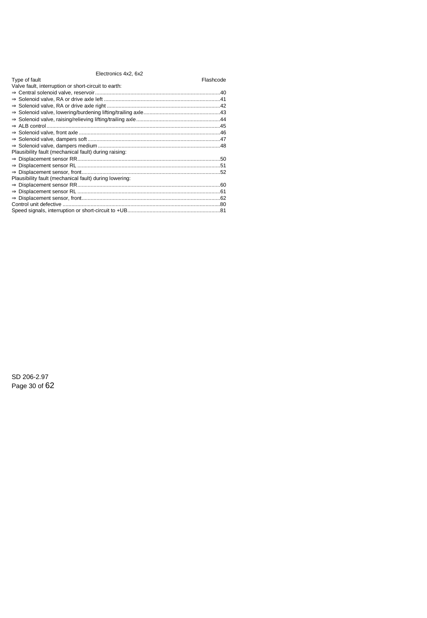## Electronics 4x2, 6x2

## Type of fault Flashcode Type of fault Flashcode

| Valve fault, interruption or short-circuit to earth:   |  |
|--------------------------------------------------------|--|
|                                                        |  |
|                                                        |  |
|                                                        |  |
|                                                        |  |
|                                                        |  |
|                                                        |  |
|                                                        |  |
|                                                        |  |
|                                                        |  |
| Plausibility fault (mechanical fault) during raising:  |  |
|                                                        |  |
|                                                        |  |
|                                                        |  |
| Plausibility fault (mechanical fault) during lowering: |  |
|                                                        |  |
|                                                        |  |
|                                                        |  |
|                                                        |  |
|                                                        |  |
|                                                        |  |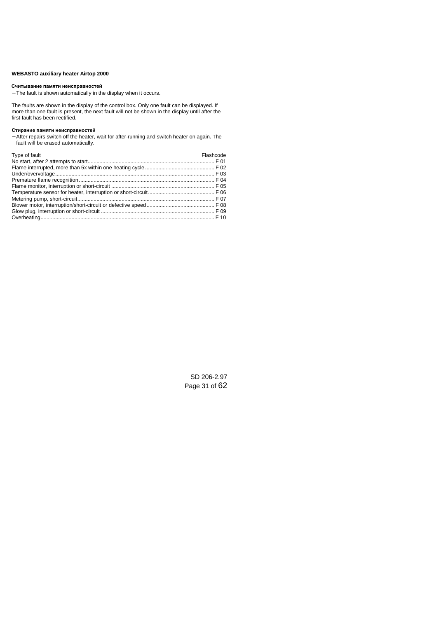## <span id="page-30-0"></span>**WEBASTO auxiliary heater Airtop 2000**

#### **Reading out the fault memory Считывание памяти неисправностей**

− The fault is shown automatically in the display when it occurs.

The faults are shown in the display of the control box. Only one fault can be displayed. If more than one fault is present, the next fault will not be shown in the display until after the first fault has been rectified.

#### **Erasing the fault memory Стирание памяти неисправностей**

− After repairs switch off the heater, wait for after-running and switch heater on again. The fault will be erased automatically.

| Type of fault | Flashcode |
|---------------|-----------|
|               |           |
|               |           |
|               |           |
|               |           |
|               |           |
|               |           |
|               |           |
|               |           |
|               |           |
|               |           |

SD 206-2.97 Page 31 of 62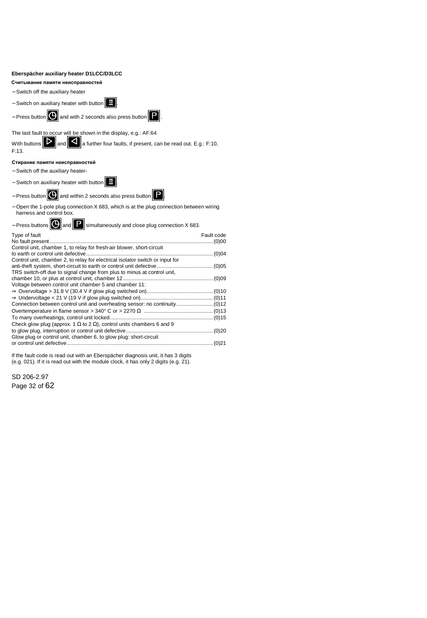## <span id="page-31-0"></span>**Eberspächer auxiliary heater D1LCC/D3LCC**

### **Reading out the fault memory Считывание памяти неисправностей**

- − Switch off the auxiliary heater
- − Switch on auxiliary heater with button  $\frac{1}{2}$
- − Press button **Q** and with 2 seconds also press button **P**



The last fault to occur will be shown in the display, e.g.: AF:64

With buttons  $\mathbf{D}$  and  $\mathbf{C}$  a further four faults, if present, can be read out. E.g.: F:10, F:13.

## **Erasing the fault memory Стирание памяти неисправностей**

- − Switch off the auxiliary heater-
- − Switch on auxiliary heater with button .



- − Open the 1-pole plug connection X 683, which is at the plug connection between wiring harness and control box.
- − Press buttons  $\boxed{\mathbf{O}}$  and  $\boxed{\mathbf{P}}$  simultaneously and close plug connection X 683.

| Type of fault                                                                       | Fault code |
|-------------------------------------------------------------------------------------|------------|
| Control unit, chamber 1, to relay for fresh-air blower, short-circuit               |            |
| Control unit, chamber 2, to relay for electrical isolator switch or input for       |            |
|                                                                                     |            |
| TRS switch-off due to signal change from plus to minus at control unit,             |            |
| Voltage between control unit chamber 5 and chamber 11:                              |            |
|                                                                                     |            |
|                                                                                     |            |
|                                                                                     |            |
|                                                                                     |            |
| Check glow plug (approx. 1 $\Omega$ to 2 $\Omega$ ), control units chambers 6 and 9 |            |
|                                                                                     |            |
| Glow plug or control unit, chamber 6, to glow plug: short-circuit                   |            |
|                                                                                     |            |

If the fault code is read out with an Eberspächer diagnosis unit, it has 3 digits (e.g. 021). If it is read out with the module clock, it has only 2 digits (e.g. 21).

SD 206-2.97 Page 32 of 62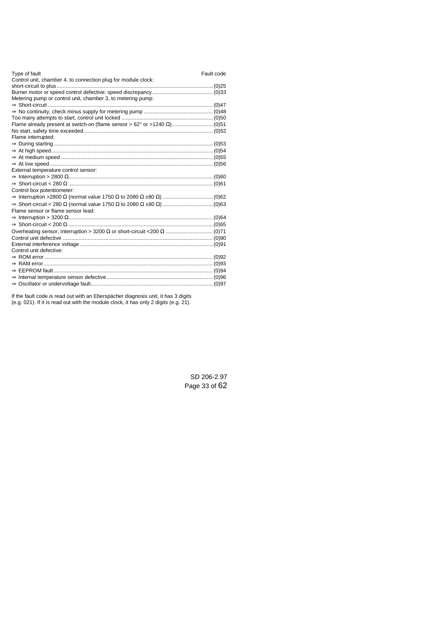| Type of fault<br>Fault code<br>Control unit, chamber 4, to connection plug for module clock: |  |
|----------------------------------------------------------------------------------------------|--|
|                                                                                              |  |
|                                                                                              |  |
| Metering pump or control unit, chamber 3, to metering pump:                                  |  |
|                                                                                              |  |
|                                                                                              |  |
|                                                                                              |  |
|                                                                                              |  |
|                                                                                              |  |
| Flame interrupted:                                                                           |  |
|                                                                                              |  |
|                                                                                              |  |
|                                                                                              |  |
|                                                                                              |  |
| External temperature control sensor:                                                         |  |
|                                                                                              |  |
|                                                                                              |  |
| Control box potentiometer:                                                                   |  |
|                                                                                              |  |
|                                                                                              |  |
| Flame sensor or flame sensor lead:                                                           |  |
|                                                                                              |  |
|                                                                                              |  |
|                                                                                              |  |
|                                                                                              |  |
|                                                                                              |  |
| Control unit defective:                                                                      |  |
|                                                                                              |  |
|                                                                                              |  |
|                                                                                              |  |
|                                                                                              |  |
|                                                                                              |  |

If the fault code is read out with an Eberspächer diagnosis unit, it has 3 digits (e.g. 021). If it is read out with the module clock, it has only 2 digits (e.g. 21).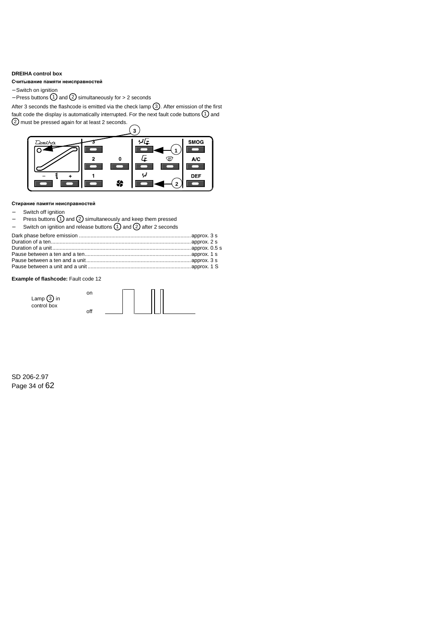## <span id="page-33-0"></span>**DREIHA control box**

## **Reading out the fault memory Считывание памяти неисправностей**

− Switch on ignition

− Press buttons (1) and (2) simultaneously for > 2 seconds

After 3 seconds the flashcode is emitted via the check lamp  $(3)$ . After emission of the first fault code the display is automatically interrupted. For the next fault code buttons  $(1)$  and 2 must be pressed again for at least 2 seconds.



#### **Erasing the fault memory Стирание памяти неисправностей**

- Switch off ignition
- Press buttons ① and ② simultaneously and keep them pressed
- Switch on ignition and release buttons  $(1)$  and  $(2)$  after 2 seconds

## **Example of flashcode:** Fault code 12

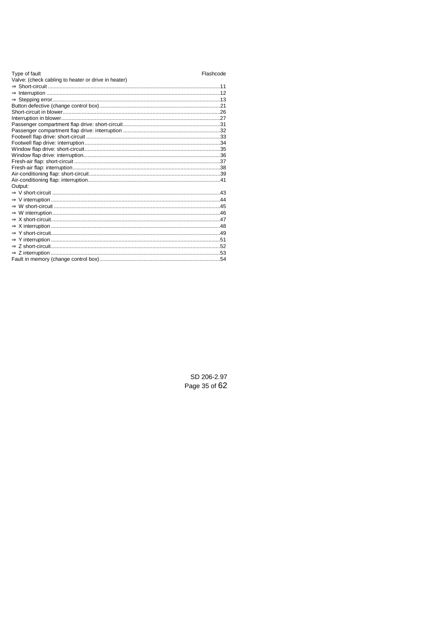| Type of fault                                       | Flashcode |
|-----------------------------------------------------|-----------|
| Valve: (check cabling to heater or drive in heater) |           |
|                                                     |           |
|                                                     |           |
|                                                     |           |
|                                                     |           |
|                                                     |           |
|                                                     |           |
|                                                     |           |
|                                                     |           |
|                                                     |           |
|                                                     |           |
|                                                     |           |
|                                                     |           |
|                                                     |           |
|                                                     |           |
|                                                     |           |
|                                                     |           |
| Output:                                             |           |
|                                                     |           |
|                                                     |           |
|                                                     |           |
|                                                     |           |
|                                                     |           |
|                                                     |           |
|                                                     |           |
|                                                     |           |
|                                                     |           |
|                                                     |           |
|                                                     |           |
|                                                     |           |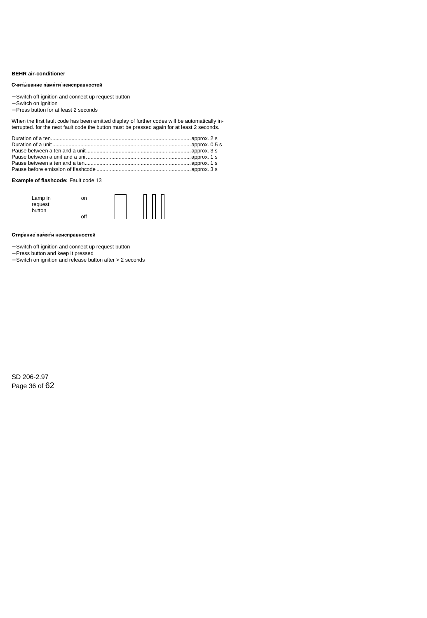## <span id="page-35-0"></span>**BEHR air-conditioner**

#### **Reading out the fault memory Считывание памяти неисправностей**

- − Switch off ignition and connect up request button
- − Switch on ignition
- − Press button for at least 2 seconds

When the first fault code has been emitted display of further codes will be automatically interrupted. for the next fault code the button must be pressed again for at least 2 seconds.

## **Example of flashcode:** Fault code 13



#### **Erasing the fault memory Стирание памяти неисправностей**

- − Switch off ignition and connect up request button
- − Press button and keep it pressed
- − Switch on ignition and release button after > 2 seconds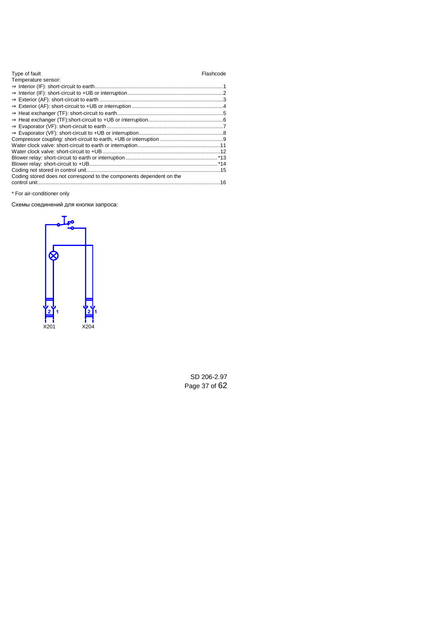| Type of fault                                                        | Flashcode |
|----------------------------------------------------------------------|-----------|
| Temperature sensor:                                                  |           |
|                                                                      |           |
|                                                                      |           |
|                                                                      |           |
|                                                                      |           |
|                                                                      |           |
|                                                                      |           |
|                                                                      |           |
|                                                                      |           |
|                                                                      |           |
|                                                                      |           |
|                                                                      |           |
|                                                                      |           |
|                                                                      |           |
|                                                                      |           |
| Coding stored does not correspond to the components dependent on the |           |
|                                                                      |           |

\* For air-conditioner only

Схемы соединений для кнопки запроса:

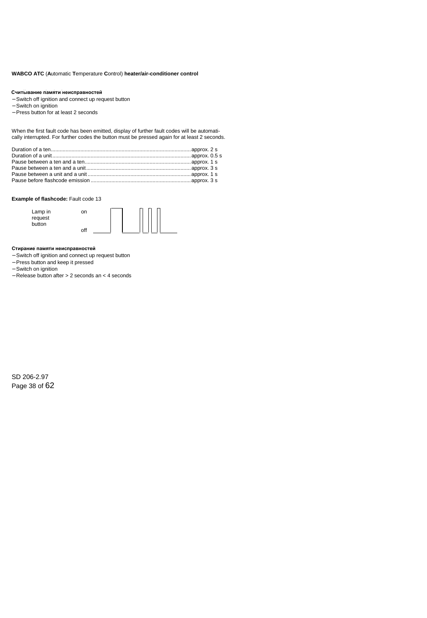## <span id="page-37-0"></span>**WABCO ATC** (**A**utomatic **T**emperature **C**ontrol) **heater/air-conditioner control**

#### **Reading out the fault memory Считывание памяти неисправностей**

- − Switch off ignition and connect up request button
- − Switch on ignition
- − Press button for at least 2 seconds

When the first fault code has been emitted, display of further fault codes will be automatically interrupted. For further codes the button must be pressed again for at least 2 seconds.

#### **Example of flashcode:** Fault code 13

| Lamp in | on  |  |  |  |
|---------|-----|--|--|--|
| request |     |  |  |  |
| button  |     |  |  |  |
|         | off |  |  |  |

#### **Erasing the fault memory Стирание памяти неисправностей**

- − Switch off ignition and connect up request button
- − Press button and keep it pressed
- − Switch on ignition
- − Release button after > 2 seconds an < 4 seconds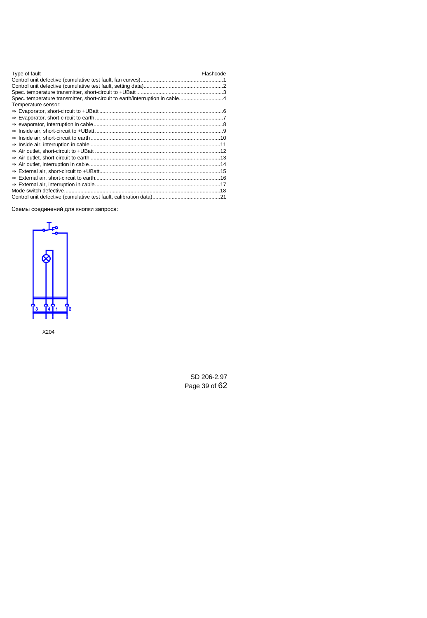| Type of fault                                                                | Flashcode |
|------------------------------------------------------------------------------|-----------|
|                                                                              |           |
|                                                                              |           |
|                                                                              |           |
| Spec. temperature transmitter, short-circuit to earth/interruption in cable4 |           |
| Temperature sensor:                                                          |           |
|                                                                              |           |
|                                                                              |           |
|                                                                              |           |
|                                                                              |           |
|                                                                              |           |
|                                                                              |           |
|                                                                              |           |
|                                                                              |           |
|                                                                              |           |
|                                                                              |           |
|                                                                              |           |
|                                                                              |           |
|                                                                              |           |
|                                                                              |           |

Схемы соединений для кнопки запроса:



X204

SD 206-2.97 Page 39 of 62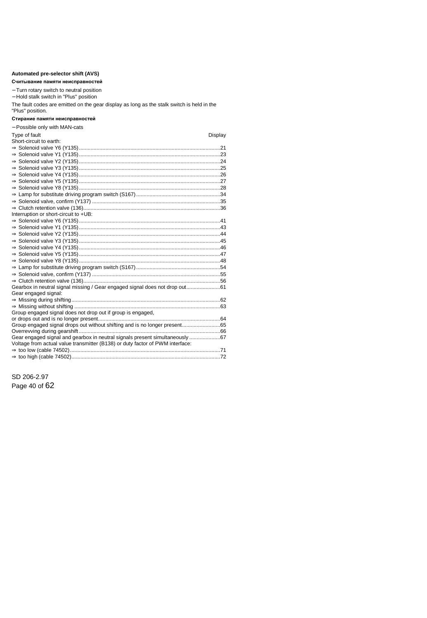## <span id="page-39-0"></span>**Automated pre-selector shift (AVS)**

#### **Reading out the fault memory Считывание памяти неисправностей**

− Turn rotary switch to neutral position

− Hold stalk switch in "Plus" position

The fault codes are emitted on the gear display as long as the stalk switch is held in the "Plus" position.

#### **Erasing the fault memory Стирание памяти неисправностей**

| Type of fault<br>Display<br>Short-circuit to earth:<br>Interruption or short-circuit to +UB:<br>Gearbox in neutral signal missing / Gear engaged signal does not drop out61<br>Gear engaged signal:<br>Group engaged signal does not drop out if group is engaged,<br>Group engaged signal drops out without shifting and is no longer present65<br>Gear engaged signal and gearbox in neutral signals present simultaneously 67 | - Possible only with MAN-cats                                                 |  |
|----------------------------------------------------------------------------------------------------------------------------------------------------------------------------------------------------------------------------------------------------------------------------------------------------------------------------------------------------------------------------------------------------------------------------------|-------------------------------------------------------------------------------|--|
|                                                                                                                                                                                                                                                                                                                                                                                                                                  |                                                                               |  |
|                                                                                                                                                                                                                                                                                                                                                                                                                                  |                                                                               |  |
|                                                                                                                                                                                                                                                                                                                                                                                                                                  |                                                                               |  |
|                                                                                                                                                                                                                                                                                                                                                                                                                                  |                                                                               |  |
|                                                                                                                                                                                                                                                                                                                                                                                                                                  |                                                                               |  |
|                                                                                                                                                                                                                                                                                                                                                                                                                                  |                                                                               |  |
|                                                                                                                                                                                                                                                                                                                                                                                                                                  |                                                                               |  |
|                                                                                                                                                                                                                                                                                                                                                                                                                                  |                                                                               |  |
|                                                                                                                                                                                                                                                                                                                                                                                                                                  |                                                                               |  |
|                                                                                                                                                                                                                                                                                                                                                                                                                                  |                                                                               |  |
|                                                                                                                                                                                                                                                                                                                                                                                                                                  |                                                                               |  |
|                                                                                                                                                                                                                                                                                                                                                                                                                                  |                                                                               |  |
|                                                                                                                                                                                                                                                                                                                                                                                                                                  |                                                                               |  |
|                                                                                                                                                                                                                                                                                                                                                                                                                                  |                                                                               |  |
|                                                                                                                                                                                                                                                                                                                                                                                                                                  |                                                                               |  |
|                                                                                                                                                                                                                                                                                                                                                                                                                                  |                                                                               |  |
|                                                                                                                                                                                                                                                                                                                                                                                                                                  |                                                                               |  |
|                                                                                                                                                                                                                                                                                                                                                                                                                                  |                                                                               |  |
|                                                                                                                                                                                                                                                                                                                                                                                                                                  |                                                                               |  |
|                                                                                                                                                                                                                                                                                                                                                                                                                                  |                                                                               |  |
|                                                                                                                                                                                                                                                                                                                                                                                                                                  |                                                                               |  |
|                                                                                                                                                                                                                                                                                                                                                                                                                                  |                                                                               |  |
|                                                                                                                                                                                                                                                                                                                                                                                                                                  |                                                                               |  |
|                                                                                                                                                                                                                                                                                                                                                                                                                                  |                                                                               |  |
|                                                                                                                                                                                                                                                                                                                                                                                                                                  |                                                                               |  |
|                                                                                                                                                                                                                                                                                                                                                                                                                                  |                                                                               |  |
|                                                                                                                                                                                                                                                                                                                                                                                                                                  |                                                                               |  |
|                                                                                                                                                                                                                                                                                                                                                                                                                                  |                                                                               |  |
|                                                                                                                                                                                                                                                                                                                                                                                                                                  |                                                                               |  |
|                                                                                                                                                                                                                                                                                                                                                                                                                                  |                                                                               |  |
|                                                                                                                                                                                                                                                                                                                                                                                                                                  |                                                                               |  |
|                                                                                                                                                                                                                                                                                                                                                                                                                                  | Voltage from actual value transmitter (B138) or duty factor of PWM interface: |  |
|                                                                                                                                                                                                                                                                                                                                                                                                                                  |                                                                               |  |
|                                                                                                                                                                                                                                                                                                                                                                                                                                  |                                                                               |  |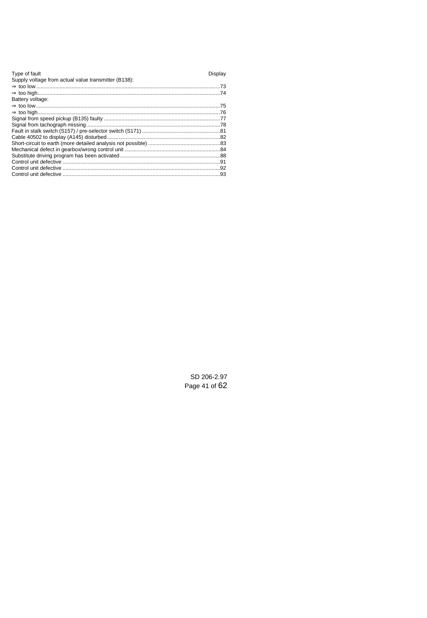| Type of fault                                        | Display |
|------------------------------------------------------|---------|
| Supply voltage from actual value transmitter (B138): |         |
|                                                      |         |
|                                                      |         |
| Battery voltage:                                     |         |
|                                                      |         |
|                                                      |         |
|                                                      |         |
|                                                      |         |
|                                                      |         |
|                                                      |         |
|                                                      |         |
|                                                      |         |
|                                                      |         |
|                                                      |         |
|                                                      |         |
|                                                      |         |
|                                                      |         |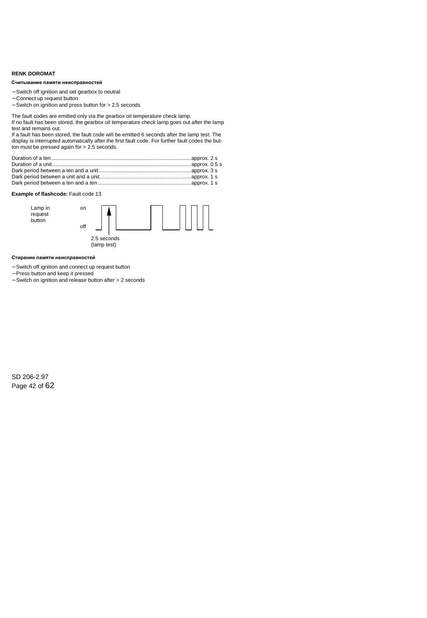## <span id="page-41-0"></span>**RENK DOROMAT**

#### **Reading out the fault memory Считывание памяти неисправностей**

- − Switch off ignition and set gearbox to neutral
- − Connect up request button
- − Switch on ignition and press button for > 2.5 seconds

The fault codes are emitted only via the gearbox oil temperature check lamp.

If no fault has been stored, the gearbox oil temperature check lamp goes out after the lamp test and remains out.

If a fault has been stored, the fault code will be emitted 6 seconds after the lamp test. The display is interrupted automatically after the first fault code. For further fault codes the button must be pressed again for > 2.5 seconds.

## **Example of flashcode:** Fault code 13



(lamp test)

#### **Erasing the fault memory Стирание памяти неисправностей**

- − Switch off ignition and connect up request button
- − Press button and keep it pressed
- − Switch on ignition and release button after > 2 seconds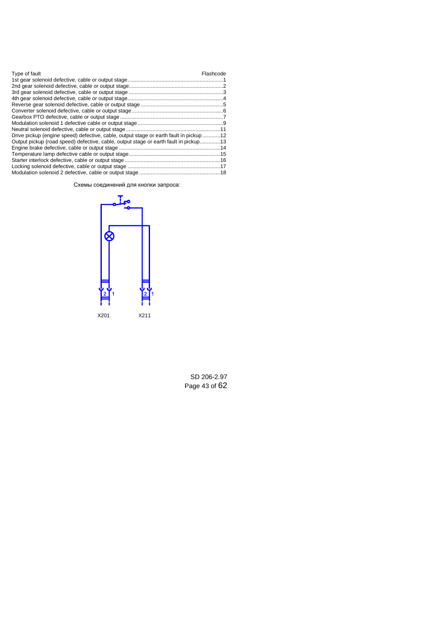| Type of fault                                                                          | Flashcode |
|----------------------------------------------------------------------------------------|-----------|
|                                                                                        |           |
|                                                                                        |           |
|                                                                                        |           |
|                                                                                        |           |
|                                                                                        |           |
|                                                                                        |           |
|                                                                                        |           |
|                                                                                        |           |
|                                                                                        |           |
| Drive pickup (engine speed) defective, cable, output stage or earth fault in pickup 12 |           |
| Output pickup (road speed) defective, cable, output stage or earth fault in pickup13   |           |
|                                                                                        |           |
|                                                                                        |           |
|                                                                                        |           |
|                                                                                        |           |
|                                                                                        |           |

Схемы соединений для кнопки запроса:

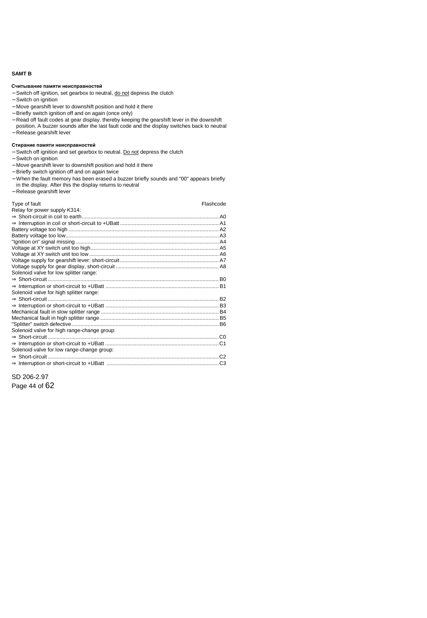## <span id="page-43-0"></span>**SAMT B**

#### **Reading out the fault memory Считывание памяти неисправностей**

- − Switch off ignition, set gearbox to neutral, do not depress the clutch
- − Switch on ignition
- − Move gearshift lever to downshift position and hold it there
- − Briefly switch ignition off and on again (once only)
- − Read off fault codes at gear display, thereby keeping the gearshift lever in the downshift position. A buzzer sounds after the last fault code and the display switches back to neutral
- − Release gearshift lever

#### **Erasing the fault memory Стирание памяти неисправностей**

- − Switch off ignition and set gearbox to neutral. Do not depress the clutch
- − Switch on ignition
- − Move gearshift lever to downshift position and hold it there
- − Briefly switch ignition off and on again twice
- − When the fault memory has been erased a buzzer briefly sounds and "00" appears briefly in the display. After this the display returns to neutral
- − Release gearshift lever

| Type of fault                               | Flashcode |
|---------------------------------------------|-----------|
| Relay for power supply K314:                |           |
|                                             |           |
|                                             |           |
|                                             |           |
|                                             |           |
|                                             |           |
|                                             |           |
|                                             |           |
|                                             |           |
|                                             |           |
| Solenoid valve for low splitter range:      |           |
|                                             |           |
|                                             |           |
| Solenoid valve for high splitter range:     |           |
|                                             |           |
|                                             |           |
|                                             |           |
|                                             |           |
|                                             |           |
| Solenoid valve for high range-change group: |           |
|                                             |           |
|                                             |           |
| Solenoid valve for low range-change group:  |           |
|                                             |           |
|                                             |           |

SD 206-2.97 Page 44 of 62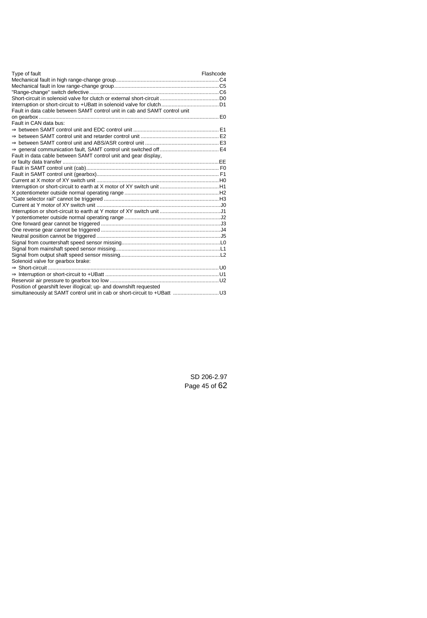| Type of fault                                                              | Flashcode |
|----------------------------------------------------------------------------|-----------|
|                                                                            |           |
|                                                                            |           |
|                                                                            |           |
|                                                                            |           |
|                                                                            |           |
| Fault in data cable between SAMT control unit in cab and SAMT control unit |           |
|                                                                            |           |
| Fault in CAN data bus:                                                     |           |
|                                                                            |           |
|                                                                            |           |
|                                                                            |           |
|                                                                            |           |
| Fault in data cable between SAMT control unit and gear display,            |           |
|                                                                            |           |
|                                                                            |           |
|                                                                            |           |
|                                                                            |           |
|                                                                            |           |
|                                                                            |           |
|                                                                            |           |
|                                                                            |           |
|                                                                            |           |
|                                                                            |           |
|                                                                            |           |
|                                                                            |           |
|                                                                            |           |
|                                                                            |           |
|                                                                            |           |
|                                                                            |           |
| Solenoid valve for gearbox brake:                                          |           |
|                                                                            |           |
|                                                                            |           |
|                                                                            |           |
| Position of gearshift lever illogical; up- and downshift requested         |           |
| simultaneously at SAMT control unit in cab or short-circuit to +UBatt  U3  |           |

SD 206-2.97 Page 45 of 62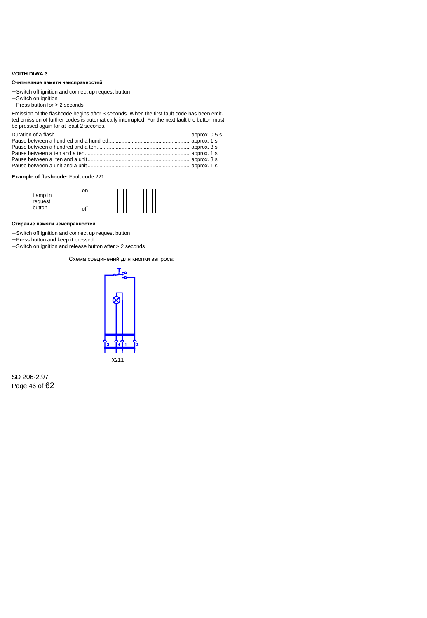## <span id="page-45-0"></span>**VOITH DIWA.3**

#### Считывание памяти неисправностей

- − Switch off ignition and connect up request button
- − Switch on ignition
- − Press button for > 2 seconds

| Считывание памяти неисправностей                                                                                                                                                                                                        |
|-----------------------------------------------------------------------------------------------------------------------------------------------------------------------------------------------------------------------------------------|
| - Switch off ignition and connect up request button<br>- Switch on ignition<br>$-$ Press button for $>$ 2 seconds                                                                                                                       |
| Emission of the flashcode begins after 3 seconds. When the first fault code has been emit-<br>ted emission of further codes is automatically interrupted. For the next fault the button mus<br>be pressed again for at least 2 seconds. |
|                                                                                                                                                                                                                                         |
| Example of flashcode: Fault code 221                                                                                                                                                                                                    |
| on<br>Lamp in<br>request<br>button<br>off                                                                                                                                                                                               |
| Стирание памяти неисправностей                                                                                                                                                                                                          |
| - Switch off ignition and connect up request button<br>- Press button and keep it pressed<br>$-$ Switch on ignition and release button after $> 2$ seconds                                                                              |
| Схема соединений для кнопки запроса:                                                                                                                                                                                                    |

### **Example of flashcode:** Fault code 221



#### Стирание памяти неисправностей

- − Switch off ignition and connect up request button
- − Press button and keep it pressed
- − Switch on ignition and release button after > 2 seconds



X211

SD 206-2.97 Page 46 of 62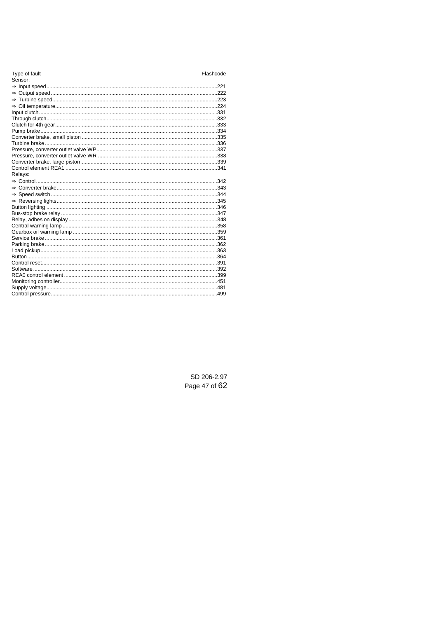| Type of fault | Flashcode |
|---------------|-----------|
| Sensor:       |           |
|               |           |
|               |           |
|               |           |
|               |           |
|               |           |
|               |           |
|               |           |
|               |           |
|               |           |
|               |           |
|               |           |
|               |           |
|               |           |
|               |           |
| Relays:       |           |
|               |           |
|               |           |
|               |           |
|               |           |
|               |           |
|               |           |
|               |           |
|               |           |
|               |           |
|               |           |
|               |           |
|               |           |
|               |           |
|               |           |
|               |           |
|               |           |
|               |           |
|               |           |
|               |           |
|               |           |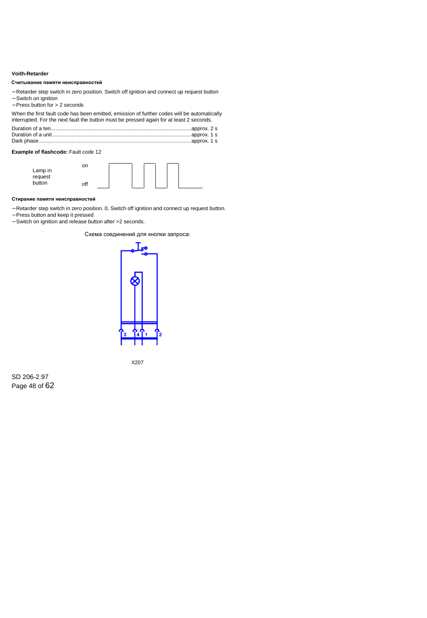## <span id="page-47-0"></span>**Voith-Retarder**

#### Считывание памяти неисправностей

- − Retarder step switch in zero position. Switch off ignition and connect up request button
- − Switch on ignition
- − Press button for > 2 seconds

When the first fault code has been emitted, emission of further codes will be automatically interrupted. For the next fault the button must be pressed again for at least 2 seconds.

Duration of a ten...............................................................................................approx. 2 s Duration of a unit..............................................................................................approx. 1 s Dark phase.......................................................................................................approx. 1 s

## **Example of flashcode:** Fault code 12



#### Стирание памяти неисправностей

- − Retarder step switch in zero position. 0, Switch off ignition and connect up request button.
- − Press button and keep it pressed
- − Switch on ignition and release button after >2 seconds.

Схема соединений для кнопки запроса:

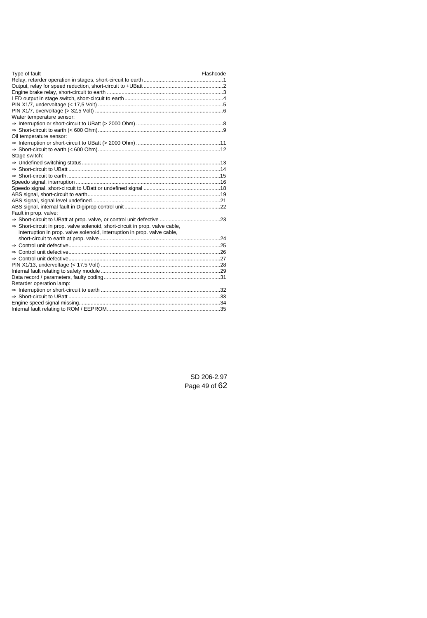| Type of fault                                                                            | Flashcode |
|------------------------------------------------------------------------------------------|-----------|
|                                                                                          |           |
|                                                                                          |           |
|                                                                                          |           |
|                                                                                          |           |
|                                                                                          |           |
|                                                                                          |           |
| Water temperature sensor:                                                                |           |
|                                                                                          |           |
|                                                                                          |           |
| Oil temperature sensor:                                                                  |           |
|                                                                                          |           |
|                                                                                          |           |
| Stage switch:                                                                            |           |
|                                                                                          |           |
|                                                                                          |           |
|                                                                                          |           |
|                                                                                          |           |
|                                                                                          |           |
|                                                                                          |           |
|                                                                                          |           |
|                                                                                          |           |
| Fault in prop. valve:                                                                    |           |
|                                                                                          |           |
| $\Rightarrow$ Short-circuit in prop. valve solenoid, short-circuit in prop. valve cable, |           |
| interruption in prop. valve solenoid, interruption in prop. valve cable,                 |           |
|                                                                                          |           |
|                                                                                          |           |
|                                                                                          |           |
|                                                                                          |           |
|                                                                                          |           |
|                                                                                          |           |
|                                                                                          |           |
| Retarder operation lamp:                                                                 |           |
|                                                                                          |           |
|                                                                                          |           |
|                                                                                          |           |
|                                                                                          |           |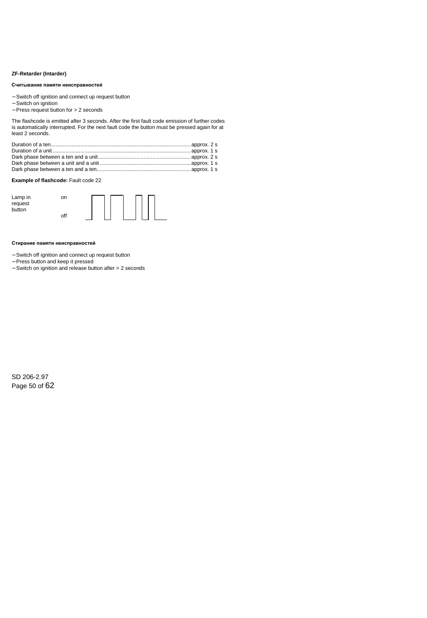## <span id="page-49-0"></span>**ZF-Retarder (Intarder)**

#### **Reading out the fault memory Считывание памяти неисправностей**

- − Switch off ignition and connect up request button
- − Switch on ignition
- − Press request button for > 2 seconds

The flashcode is emitted after 3 seconds. After the first fault code emission of further codes is automatically interrupted. For the next fault code the button must be pressed again for at least 2 seconds.

## **Example of flashcode:** Fault code 22



#### **Erasing the fault memory Стирание памяти неисправностей**

- − Switch off ignition and connect up request button
- − Press button and keep it pressed
- − Switch on ignition and release button after > 2 seconds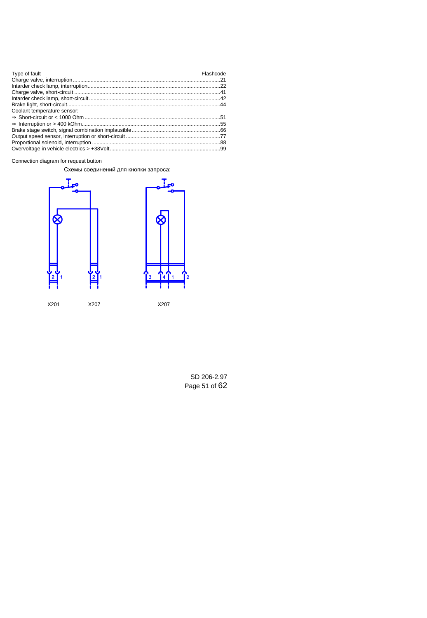| Type of fault                                                                                                    | Flashcode |
|------------------------------------------------------------------------------------------------------------------|-----------|
|                                                                                                                  |           |
|                                                                                                                  |           |
|                                                                                                                  |           |
| 142.http://www.aspect.com/news/contract/int/match?interact/int/match?interact/int/match?int/match?int/match?int/ |           |
|                                                                                                                  |           |
| Coolant temperature sensor:                                                                                      |           |
|                                                                                                                  |           |
|                                                                                                                  |           |
|                                                                                                                  |           |
|                                                                                                                  |           |
|                                                                                                                  |           |
|                                                                                                                  |           |

Connection diagram for request button

Схемы соединений для кнопки запроса:



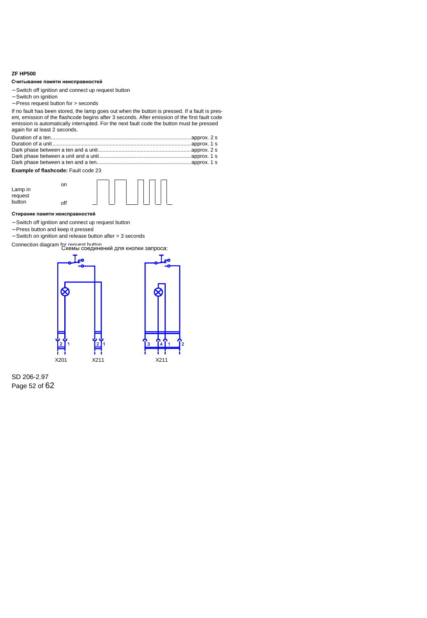## <span id="page-51-0"></span>**ZF HP500**

#### Считывание памяти неисправностей

- − Switch off ignition and connect up request button
- − Switch on ignition
- − Press request button for > seconds

If no fault has been stored, the lamp goes out when the button is pressed. If a fault is present, emission of the flashcode begins after 3 seconds. After emission of the first fault code emission is automatically interrupted. For the next fault code the button must be pressed again for at least 2 seconds.

## **Example of flashcode:** Fault code 23



#### Стирание памяти неисправностей

- − Switch off ignition and connect up request button
- − Press button and keep it pressed
- − Switch on ignition and release button after > 3 seconds

Connection diagram for request button<br>Схемы соединений для кнопки запроса:





SD 206-2.97 Page 52 of 62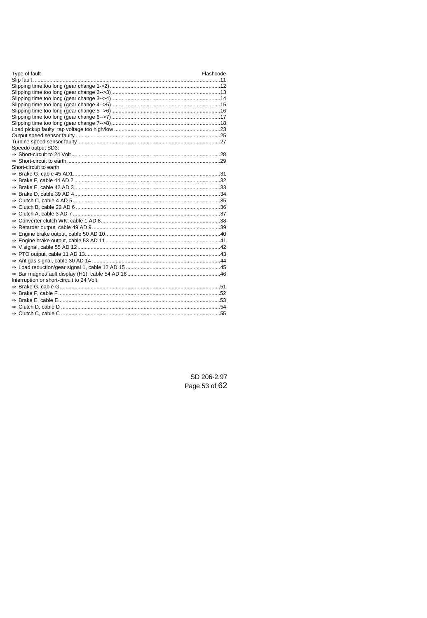Type of fault

| Speedo output SD3:                       |  |
|------------------------------------------|--|
|                                          |  |
|                                          |  |
| Short-circuit to earth                   |  |
|                                          |  |
|                                          |  |
|                                          |  |
|                                          |  |
|                                          |  |
|                                          |  |
|                                          |  |
|                                          |  |
|                                          |  |
|                                          |  |
|                                          |  |
|                                          |  |
|                                          |  |
|                                          |  |
|                                          |  |
|                                          |  |
| Interruption or short-circuit to 24 Volt |  |
|                                          |  |
|                                          |  |
|                                          |  |
|                                          |  |
|                                          |  |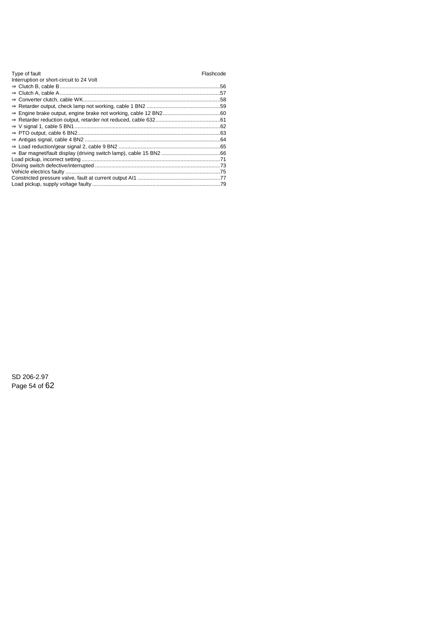| Type of fault                            | Flashcode |
|------------------------------------------|-----------|
| Interruption or short-circuit to 24 Volt |           |
|                                          |           |
|                                          |           |
|                                          |           |
|                                          |           |
|                                          |           |
|                                          |           |
|                                          |           |
|                                          |           |
|                                          |           |
|                                          |           |
|                                          |           |
|                                          |           |
|                                          |           |
|                                          |           |
|                                          |           |
|                                          |           |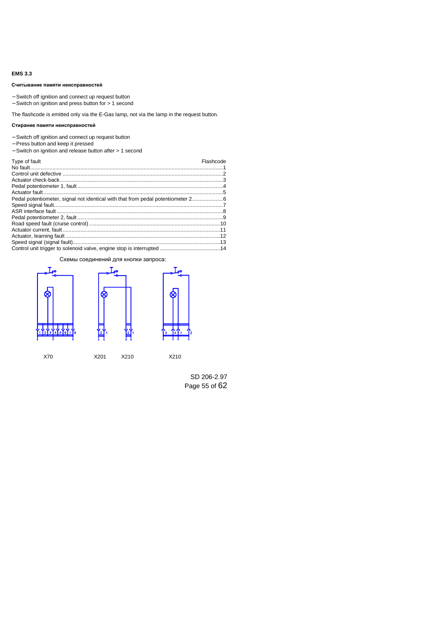## <span id="page-54-0"></span>**EMS 3.3**

#### Считывание памяти неисправностей

- − Switch off ignition and connect up request button
- − Switch on ignition and press button for > 1 second

### Стирание памяти неисправностей

- − Switch off ignition and connect up request button
- − Press button and keep it pressed
- − Switch on ignition and release button after > 1 second

| Считывание памяти неисправностей                                                                                                                      |           |
|-------------------------------------------------------------------------------------------------------------------------------------------------------|-----------|
| - Switch off ignition and connect up request button<br>$-$ Switch on ignition and press button for $> 1$ second                                       |           |
| The flashcode is emitted only via the E-Gas lamp, not via the lamp in the request button.                                                             |           |
| Стирание памяти неисправностей                                                                                                                        |           |
| - Switch off ignition and connect up request button<br>- Press button and keep it pressed<br>- Switch on ignition and release button after > 1 second |           |
| Type of fault                                                                                                                                         | Flashcode |
|                                                                                                                                                       |           |
|                                                                                                                                                       |           |
|                                                                                                                                                       |           |
|                                                                                                                                                       |           |
| Pedal potentiometer, signal not identical with that from pedal potentiometer 26                                                                       |           |
|                                                                                                                                                       |           |
|                                                                                                                                                       |           |
|                                                                                                                                                       |           |
|                                                                                                                                                       |           |
|                                                                                                                                                       |           |
|                                                                                                                                                       |           |
|                                                                                                                                                       |           |
| Схемы соединений для кнопки запроса:                                                                                                                  |           |

#### Схемы соединений для кнопки запроса:





X70 X201 X210 X210

SD 206-2.97 Page 55 of 62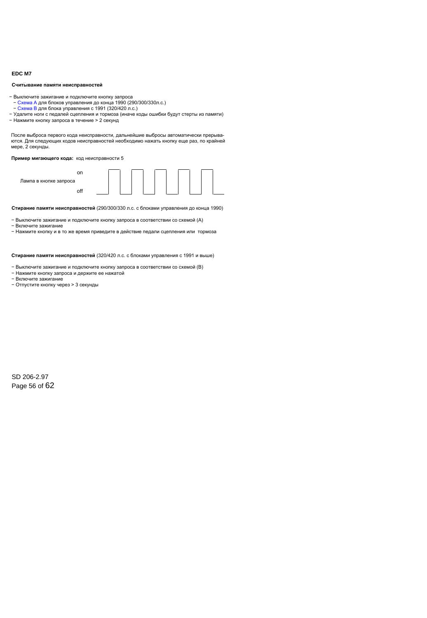## <span id="page-55-0"></span>**EDC M7**

#### **Reading out the fault memory Считывание памяти неисправностей**

− Выключите зажигание и подключите кнопку запроса

- − Схема А для блоков управления до конца 1990 (290/300/330л.с.)
- − Схема B для блока управления с 1991 (320/420 л.с.)
- − Удалите ноги с педалей сцепления и тормоза (иначе коды ошибки будут стерты из памяти)<br>- Чашките число стертов с постояния к О станов
- − Нажмите кнопку запроса в течение > 2 секунд

.<br>После выброса первого кода неисправности, дальнейшие выбросы автоматически прерыва ются. Для следующих кодов неисправностей необходимо нажать кнопку еще раз, по крайней мере, 2 секунды. Видеология более адап болуп болуп болуп болуп адабият. Ал аталды адап болуп болуп болуп болуп

#### Пример мигающего кода: код неисправности 5



Стирание памяти неисправностей (290/300/330 л.с. с блоками управления до конца 1990)

- − Выключите зажигание и подключите кнопку запроса в соответствии со схемой (A)
- − Включите зажигание
- − Нажмите кнопку и в то же время приведите в действие педали сцепления или тормоза

**Стирание памяти неисправностей** (320/420 л.с. с блоками управления с 1991 и выше)

- − Выключите зажигание и подключите кнопку запроса в соответствии со схемой (В)
- − Нажмите кнопку запроса и держите ее нажатой
- − Включите зажигание
- − Отпустите кнопку через > 3 секунды

SD 206-2.97 Page 56 of 62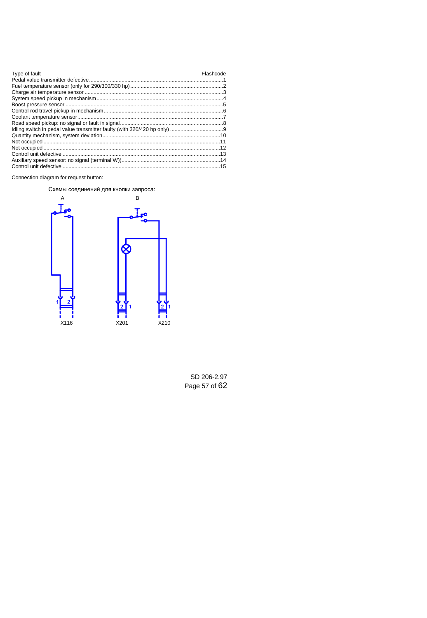| Type of fault | Flashcode |
|---------------|-----------|
|               |           |
|               |           |
|               |           |
|               |           |
|               |           |
|               |           |
|               |           |
|               |           |
|               |           |
|               |           |
|               |           |
|               |           |
|               |           |
|               |           |
|               |           |
|               |           |

Connection diagram for request button:

Схемы соединений для кнопки запроса:

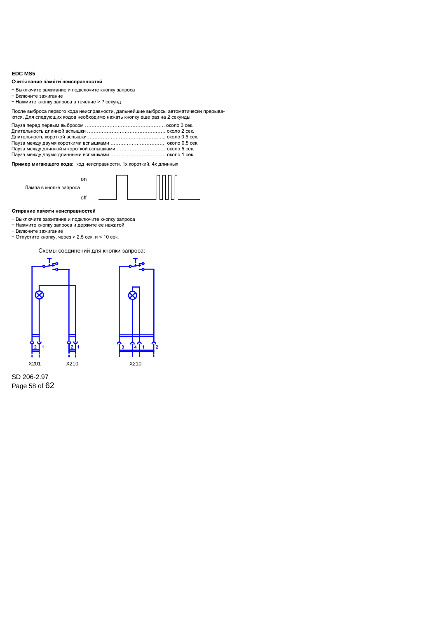## <span id="page-57-0"></span>**EDC MS5**

#### Считывание памяти неисправностей

- − Выключите зажигание и подключите кнопку запроса
- − Включите зажигание
- − Нажмите кнопку запроса в течение > ? секунд

| Считывание памяти неисправностей                                                                                                                               |  |
|----------------------------------------------------------------------------------------------------------------------------------------------------------------|--|
| - Выключите зажигание и подключите кнопку запроса<br>- Включите зажигание<br>- Нажмите кнопку запроса в течение > ? секунд                                     |  |
| После выброса первого кода неисправности, дальнейшие выбросы автоматически прерыва<br>ются. Для следующих кодов необходимо нажать кнопку еще раз на 2 секунды. |  |
| Пауза между длинной и короткой вспышками  около 5 сек.                                                                                                         |  |
| Пример мигающего кода: код неисправности, 1х короткий, 4х длинных                                                                                              |  |
| on<br>Лампа в кнопке запроса                                                                                                                                   |  |



#### **Erasing the fault memory Стирание памяти неисправностей**

- − Выключите зажигание и подключите кнопку запроса
- − Нажмите кнопку запроса и держите ее нажатой
- − Включите зажигание
- − Отпустите кнопку, через > 2,5 сек. и < 10 сек.

Схемы соединений для кнопки запроса:



Page 58 of 62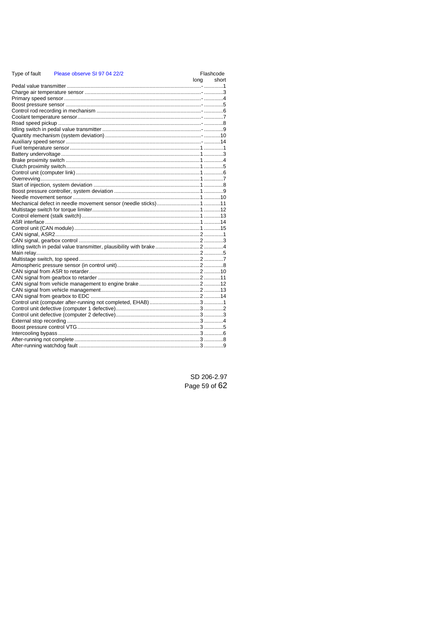#### Type of fault Please observe SL97 04 22/2 Flashcode lona short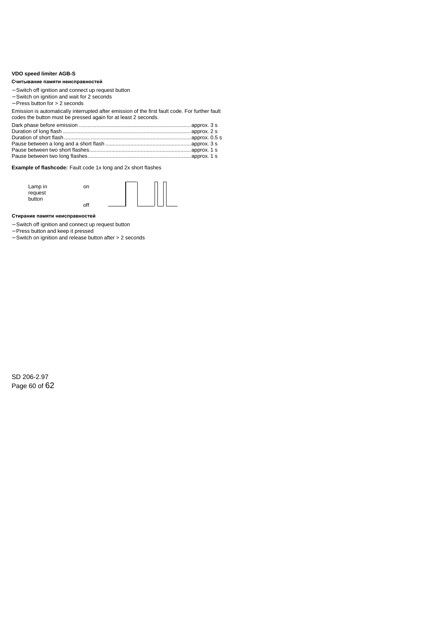## <span id="page-59-0"></span>**VDO speed limiter AGB-S**

#### **Reading out the fault memory Считывание памяти неисправностей**

- − Switch off ignition and connect up request button
- − Switch on ignition and wait for 2 seconds
- − Press button for > 2 seconds

Emission is automatically interrupted after emission of the first fault code. For further fault codes the button must be pressed again for at least 2 seconds.

**Example of flashcode:** Fault code 1x long and 2x short flashes

| Lamp in<br>request<br>button | on |  |
|------------------------------|----|--|
|                              |    |  |

#### **Erasing the fault memory Стирание памяти неисправностей**

- − Switch off ignition and connect up request button
- − Press button and keep it pressed
- − Switch on ignition and release button after > 2 seconds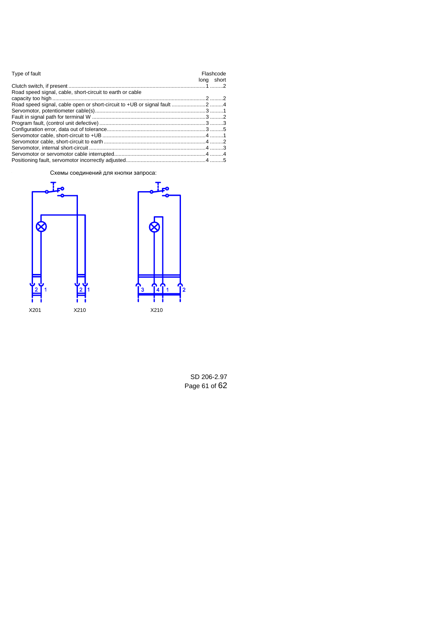| Type of fault                                             | Flashcode<br>long short |
|-----------------------------------------------------------|-------------------------|
|                                                           |                         |
| Road speed signal, cable, short-circuit to earth or cable |                         |
|                                                           |                         |
|                                                           |                         |
|                                                           |                         |
|                                                           |                         |
|                                                           |                         |
|                                                           |                         |
|                                                           |                         |
|                                                           |                         |
|                                                           |                         |
|                                                           |                         |
|                                                           |                         |

Схемы соединений для кнопки запроса:





SD 206-2.97 Page 61 of 62